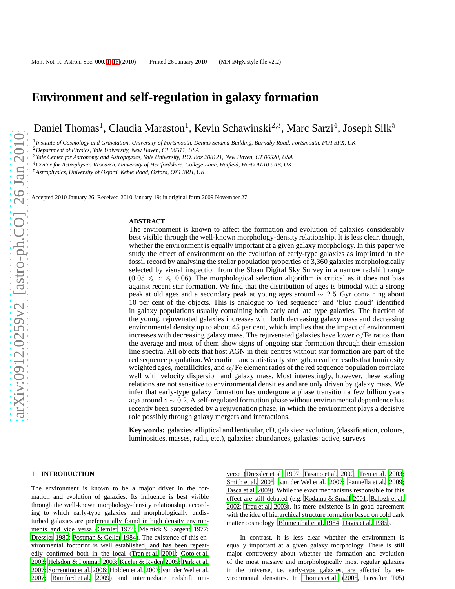# **Environment and self-regulation in galaxy formation**

Daniel Thomas<sup>1</sup>, Claudia Maraston<sup>1</sup>, Kevin Schawinski<sup>2,3</sup>, Marc Sarzi<sup>4</sup>, Joseph Silk<sup>5</sup>

1 *Institute of Cosmology and Gravitation, University of Portsmouth, Dennis Sciama Building, Burnaby Road, Portsmouth, PO1 3FX, UK*

<sup>2</sup>*Department of Physics, Yale University, New Haven, CT 06511, USA*

<sup>3</sup>*Yale Center for Astronomy and Astrophysics, Yale University, P.O. Box 208121, New Haven, CT 06520, USA*

<sup>4</sup>*Center for Astrophysics Research, University of Hertfordshire, College Lane, Hatfield, Herts AL10 9AB, UK*

<sup>5</sup>*Astrophysics, University of Oxford, Keble Road, Oxford, OX1 3RH, UK*

Accepted 2010 January 26. Received 2010 January 19; in original form 2009 November 27

### **ABSTRACT**

The environment is known to affect the formation and evolution of galaxies considerably best visible through the well-known morphology-density relationship. It is less clear, though, whether the environment is equally important at a given galaxy morphology. In this paper we study the effect of environment on the evolution of early-type galaxies as imprinted in the fossil record by analysing the stellar population properties of 3,360 galaxies morphologically selected by visual inspection from the Sloan Digital Sky Survey in a narrow redshift range  $(0.05 \le z \le 0.06)$ . The morphological selection algorithm is critical as it does not bias against recent star formation. We find that the distribution of ages is bimodal with a strong peak at old ages and a secondary peak at young ages around ∼ 2.5 Gyr containing about 10 per cent of the objects. This is analogue to 'red sequence' and 'blue cloud' identified in galaxy populations usually containing both early and late type galaxies. The fraction of the young, rejuvenated galaxies increases with both decreasing galaxy mass and decreasing environmental density up to about 45 per cent, which implies that the impact of environment increases with decreasing galaxy mass. The rejuvenated galaxies have lower  $\alpha$ /Fe ratios than the average and most of them show signs of ongoing star formation through their emission line spectra. All objects that host AGN in their centres without star formation are part of the red sequence population. We confirm and statistically strengthen earlier results that luminosity weighted ages, metallicities, and  $\alpha$ /Fe element ratios of the red sequence population correlate well with velocity dispersion and galaxy mass. Most interestingly, however, these scaling relations are not sensitive to environmental densities and are only driven by galaxy mass. We infer that early-type galaxy formation has undergone a phase transition a few billion years ago around  $z \sim 0.2$ . A self-regulated formation phase without environmental dependence has recently been superseded by a rejuvenation phase, in which the environment plays a decisive role possibly through galaxy mergers and interactions.

**Key words:** galaxies: elliptical and lenticular, cD, galaxies: evolution, (classification, colours, luminosities, masses, radii, etc.), galaxies: abundances, galaxies: active, surveys

# arXiv:0912.0259v2 [astro-ph.CO] 26 Jan 2010 [arXiv:0912.0259v2 \[astro-ph.CO\] 26 Jan 2010](http://arxiv.org/abs/0912.0259v2)

### **1 INTRODUCTION**

The environment is known to be a major driver in the formation and evolution of galaxies. Its influence is best visible through the well-known morphology-density relationship, according to which early-type galaxies and morphologically undisturbed galaxies are preferentially found in high density environments and vice versa [\(Oemler 1974](#page-14-0); [Melnick & Sargent 1977;](#page-14-1) [Dressler 1980;](#page-13-0) [Postman & Geller 1984](#page-14-2)). The existence of this environmental footprint is well established, and has been repeatedly confirmed both in the local [\(Tran et al. 2001](#page-15-0); [Goto et al.](#page-13-1) [2003;](#page-13-1) [Helsdon & Ponman 2003](#page-13-2); [Kuehn & Ryden 2005](#page-14-3); [Park et al.](#page-14-4) [2007;](#page-14-4) [Sorrentino et al. 2006](#page-14-5); [Holden et al. 2007;](#page-13-3) [van der Wel et al.](#page-15-1) [2007;](#page-15-1) [Bamford et al. 2009](#page-13-4)) and intermediate redshift uni-

verse [\(Dressler et al. 1997;](#page-13-5) [Fasano et al. 2000](#page-13-6); [Treu et al. 2003;](#page-15-2) [Smith et al. 2005;](#page-14-6) [van der Wel et al. 2007](#page-15-1); [Pannella et al. 2009;](#page-14-7) [Tasca et al. 2009\)](#page-14-8). While the exact mechanisms responsible for this effect are still debated (e.g. [Kodama & Smail 2001;](#page-14-9) [Balogh et](#page-13-7) al. [2002](#page-13-7); [Treu et al. 2003\)](#page-15-2), its mere existence is in good agreement with the idea of hierarchical structure formation based on cold dark matter cosmology [\(Blumenthal et al. 1984](#page-13-8); [Davis et al. 1985\)](#page-13-9).

In contrast, it is less clear whether the environment is equally important at a given galaxy morphology. There is still major controversy about whether the formation and evolution of the most massive and morphologically most regular galaxies in the universe, i.e. early-type galaxies, are affected by environmental densities. In [Thomas et al.](#page-14-10) [\(2005](#page-14-10), hereafter T05)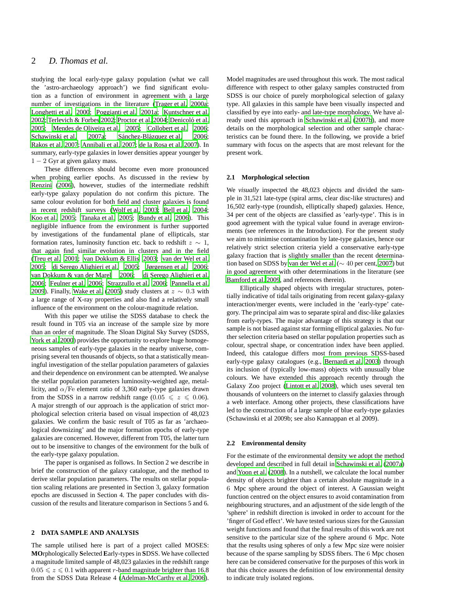studying the local early-type galaxy population (what we call the 'astro-archaeology approach') we find significant evolution as a function of environment in agreement with a large number of investigations in the literature [\(Trager et al. 2000a;](#page-15-3) [Longhetti et al. 2000;](#page-14-11) [Poggianti et al. 2001a](#page-14-12); [Kuntschner et](#page-14-13) al. [2002;](#page-14-13) [Terlevich & Forbes 2002](#page-14-14); [Proctor et al. 2004](#page-14-15); Denicoló et al. [2005;](#page-13-10) [Mendes de Oliveira et al. 2005](#page-14-16); [Collobert et al. 2006;](#page-13-11) [Schawinski et al. 2007a;](#page-14-17) Sánchez-Blázquez et al. 2006; [Rakos et al. 2007](#page-14-19); [Annibali et al. 2007](#page-12-0); [de la Rosa et al. 2007](#page-13-12)). In summary, early-type galaxies in lower densities appear younger by  $1 - 2$  Gyr at given galaxy mass.

These differences should become even more pronounced when probing earlier epochs. As discussed in the review by [Renzini \(2006](#page-14-20)), however, studies of the intermediate redshift early-type galaxy population do not confirm this picture. The same colour evolution for both field and cluster galaxies is found in recent redshift surveys [\(Wolf et al. 2003](#page-15-4); [Bell et al. 2004;](#page-13-13) [Koo et al. 2005;](#page-14-21) [Tanaka et al. 2005](#page-14-22); [Bundy et al. 2006](#page-13-14)). This negligible influence from the environment is further supported by investigations of the fundamental plane of ellipticals, star formation rates, luminosity function etc. back to redshift  $z \sim 1$ , that again find similar evolution in clusters and in the field [\(Treu et al. 2001;](#page-15-5) [van Dokkum & Ellis 2003](#page-15-6); [van der Wel et al.](#page-15-7) [2005](#page-15-7); [di Serego Alighieri et al. 2005;](#page-13-15) [Jørgensen et al. 2006;](#page-13-16) [van Dokkum & van der Marel 2006](#page-15-8); [di Serego Alighieri et al.](#page-13-17) [2006](#page-13-17); [Feulner et al. 2006](#page-13-18); [Strazzullo et al. 2006](#page-14-23); [Pannella et al.](#page-14-7) [2009](#page-14-7)). Finally, [Wake et al. \(2005](#page-15-9)) study clusters at  $z \sim 0.3$  with a large range of X-ray properties and also find a relatively small influence of the environment on the colour-magnitude relation.

With this paper we utilise the SDSS database to check the result found in T05 via an increase of the sample size by more than an order of magnitude. The Sloan Digital Sky Survey (SDSS, [York et al. 2000](#page-15-10)) provides the opportunity to explore huge homogeneous samples of early-type galaxies in the nearby universe, comprising several ten thousands of objects, so that a statistically meaningful investigation of the stellar population parameters of galaxies and their dependence on environment can be attempted. We analyse the stellar population parameters luminosity-weighted age, metallicity, and  $\alpha$ /Fe element ratio of 3,360 early-type galaxies drawn from the SDSS in a narrow redshift range (0.05  $\leq$  z  $\leq$  0.06). A major strength of our approach is the application of strict morphological selection criteria based on visual inspection of 48,023 galaxies. We confirm the basic result of T05 as far as 'archaeological downsizing' and the major formation epochs of early-type galaxies are concerned. However, different from T05, the latter turn out to be insensitive to changes of the environment for the bulk of the early-type galaxy population.

The paper is organised as follows. In Section 2 we describe in brief the construction of the galaxy catalogue, and the method to derive stellar population parameters. The results on stellar population scaling relations are presented in Section 3, galaxy formation epochs are discussed in Section 4. The paper concludes with discussion of the results and literature comparison in Sections 5 and 6.

### <span id="page-1-0"></span>**2 DATA SAMPLE AND ANALYSIS**

The sample utilised here is part of a project called MOSES: **MO**rphologically **S**elected **E**arly-types in **S**DSS. We have collected a magnitude limited sample of 48,023 galaxies in the redshift range  $0.05 \leqslant z \leqslant 0.1$  with apparent  $r$ -band magnitude brighter than  $16.8$ from the SDSS Data Release 4 [\(Adelman-McCarthy et al. 2006](#page-12-1)).

Model magnitudes are used throughout this work. The most radical difference with respect to other galaxy samples constructed from SDSS is our choice of purely morphological selection of galaxy type. All galaxies in this sample have been visually inspected and classified by eye into early- and late-type morphology. We have already used this approach in [Schawinski et al. \(2007b\)](#page-14-24), and more details on the morphological selection and other sample characteristics can be found there. In the following, we provide a brief summary with focus on the aspects that are most relevant for the present work.

### **2.1 Morphological selection**

We *visually* inspected the 48,023 objects and divided the sample in 31,521 late-type (spiral arms, clear disc-like structures) and 16,502 early-type (roundish, elliptically shaped) galaxies. Hence, 34 per cent of the objects are classified as 'early-type'. This is in good agreement with the typical value found in average environments (see references in the Introduction). For the present study we aim to minimise contamination by late-type galaxies, hence our relatively strict selection criteria yield a conservative early-type galaxy fraction that is slightly smaller than the recent determination based on SDSS by [van der Wel et al.](#page-15-1) (∼ 40 per cent, [2007](#page-15-1)) but in good agreement with other determinations in the literature (see [Bamford et al. 2009,](#page-13-4) and references therein).

Elliptically shaped objects with irregular structures, potentially indicative of tidal tails originating from recent galaxy-galaxy interaction/merger events, were included in the 'early-type' category. The principal aim was to separate spiral and disc-like galaxies from early-types. The major advantage of this strategy is that our sample is not biased against star forming elliptical galaxies. No further selection criteria based on stellar population properties such as colour, spectral shape, or concentration index have been applied. Indeed, this catalogue differs most from previous SDSS-based early-type galaxy catalogues (e.g., [Bernardi et al. 2003](#page-13-19)) through its inclusion of (typically low-mass) objects with unusually blue colours. We have extended this approach recently through the Galaxy Zoo project [\(Lintott et al. 2008](#page-14-25)), which uses several ten thousands of volunteers on the internet to classify galaxies through a web interface. Among other projects, these classifications have led to the construction of a large sample of blue early-type galaxies (Schawinski et al 2009b; see also Kannappan et al 2009).

### **2.2 Environmental density**

For the estimate of the environmental density we adopt the method developed and described in full detail in [Schawinski et al. \(2007a](#page-14-17)) and [Yoon et al. \(2008\)](#page-15-11). In a nutshell, we calculate the local number density of objects brighter than a certain absolute magnitude in a 6 Mpc sphere around the object of interest. A Gaussian weight function centred on the object ensures to avoid contamination from neighbouring structures, and an adjustment of the side length of the 'sphere' in redshift direction is invoked in order to account for the 'finger of God effect'. We have tested various sizes for the Gaussian weight functions and found that the final results of this work are not sensitive to the particular size of the sphere around 6 Mpc. Note that the results using spheres of only a few Mpc size were noisier because of the sparse sampling by SDSS fibers. The 6 Mpc chosen here can be considered conservative for the purposes of this work in that this choice assures the definition of low environmental density to indicate truly isolated regions.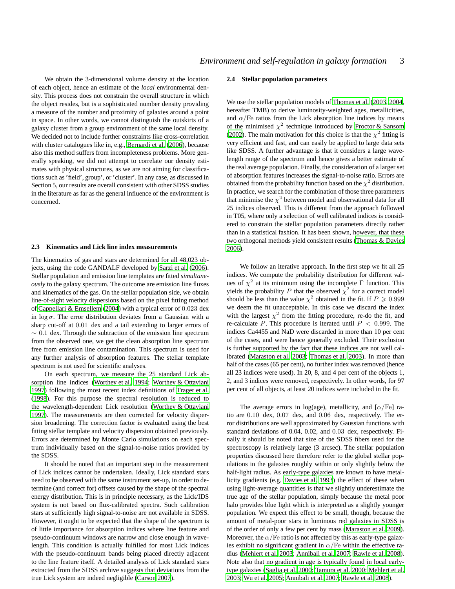We obtain the 3-dimensional volume density at the location of each object, hence an estimate of the *local* environmental density. This process does not constrain the overall structure in which the object resides, but is a sophisticated number density providing a measure of the number and proximity of galaxies around a point in space. In other words, we cannot distinguish the outskirts of a galaxy cluster from a group environment of the same local density. We decided not to include further constraints like cross-correlation with cluster catalogues like in, e.g., [Bernardi et al. \(2006](#page-13-20)), because also this method suffers from incompleteness problems. More generally speaking, we did not attempt to correlate our density estimates with physical structures, as we are not aiming for classifications such as 'field', group', or 'cluster'. In any case, as discussed in Section 5, our results are overall consistent with other SDSS studies in the literature as far as the general influence of the environment is concerned.

### **2.3 Kinematics and Lick line index measurements**

The kinematics of gas and stars are determined for all 48,023 objects, using the code GANDALF developed by [Sarzi et al. \(2006](#page-14-26)). Stellar population and emission line templates are fitted *simultaneously* to the galaxy spectrum. The outcome are emission line fluxes and kinematics of the gas. On the stellar population side, we obtain line-of-sight velocity dispersions based on the pixel fitting method of [Cappellari & Emsellem](#page-13-21) [\(2004](#page-13-21)) with a typical error of 0.023 dex in  $\log \sigma$ . The error distribution deviates from a Gaussian with a sharp cut-off at 0.01 dex and a tail extending to larger errors of  $\sim$  0.1 dex. Through the subtraction of the emission line spectrum from the observed one, we get the clean absorption line spectrum free from emission line contamination. This spectrum is used for any further analysis of absorption features. The stellar template spectrum is not used for scientific analyses.

On each spectrum, we measure the 25 standard Lick absorption line indices [\(Worthey et al. 1994](#page-15-12); [Worthey & Ottaviani](#page-15-13) [1997](#page-15-13)) following the most recent index definitions of [Trager et al.](#page-15-14) [\(1998](#page-15-14)). For this purpose the spectral resolution is reduced to the wavelength-dependent Lick resolution [\(Worthey & Ottaviani](#page-15-13) [1997](#page-15-13)). The measurements are then corrected for velocity dispersion broadening. The correction factor is evaluated using the best fitting stellar template and velocity dispersion obtained previously. Errors are determined by Monte Carlo simulations on each spectrum individually based on the signal-to-noise ratios provided by the SDSS.

It should be noted that an important step in the measurement of Lick indices cannot be undertaken. Ideally, Lick standard stars need to be observed with the same instrument set-up, in order to determine (and correct for) offsets caused by the shape of the spectral energy distribution. This is in principle necessary, as the Lick/IDS system is not based on flux-calibrated spectra. Such calibration stars at sufficiently high signal-to-noise are not available in SDSS. However, it ought to be expected that the shape of the spectrum is of little importance for absorption indices where line feature and pseudo-continuum windows are narrow and close enough in wavelength. This condition is actually fulfilled for most Lick indices with the pseudo-continuum bands being placed directly adjacent to the line feature itself. A detailed analysis of Lick standard stars extracted from the SDSS archive suggests that deviations from the true Lick system are indeed negligible [\(Carson 2007](#page-13-22)).

### **2.4 Stellar population parameters**

We use the stellar population models of [Thomas et al. \(2003,](#page-14-27) [2004](#page-14-28), hereafter TMB) to derive luminosity-weighted ages, metallicities, and  $\alpha$ /Fe ratios from the Lick absorption line indices by means of the minimised  $\chi^2$  technique introduced by [Proctor & Sansom](#page-14-29) [\(2002](#page-14-29)). The main motivation for this choice is that the  $\chi^2$  fitting is very efficient and fast, and can easily be applied to large data sets like SDSS. A further advantage is that it considers a large wavelength range of the spectrum and hence gives a better estimate of the real average population. Finally, the consideration of a larger set of absorption features increases the signal-to-noise ratio. Errors are obtained from the probability function based on the  $\chi^2$  distribution. In practice, we search for the combination of those three parameters that minimise the  $\chi^2$  between model and observational data for all 25 indices observed. This is different from the approach followed in T05, where only a selection of well calibrated indices is considered to constrain the stellar population parameters directly rather than in a statistical fashion. It has been shown, however, that these two orthogonal methods yield consistent results [\(Thomas & Davies](#page-14-30) [2006](#page-14-30)).

We follow an iterative approach. In the first step we fit all 25 indices. We compute the probability distribution for different values of  $\chi^2$  at its minimum using the incomplete  $\Gamma$  function. This yields the probability P that the observed  $\chi^2$  for a correct model should be less than the value  $\chi^2$  obtained in the fit. If  $P \ge 0.999$ we deem the fit unacceptable. In this case we discard the index with the largest  $\chi^2$  from the fitting procedure, re-do the fit, and re-calculate P. This procedure is iterated until  $P < 0.999$ . The indices Ca4455 and NaD were discarded in more than 10 per cent of the cases, and were hence generally excluded. Their exclusion is further supported by the fact that these indices are not well calibrated [\(Maraston et al. 2003](#page-14-31); [Thomas et al. 2003](#page-14-27)). In more than half of the cases (65 per cent), no further index was removed (hence all 23 indices were used). In 20, 8, and 4 per cent of the objects 1, 2, and 3 indices were removed, respectively. In other words, for 97 per cent of all objects, at least 20 indices were included in the fit.

The average errors in log(age), metallicity, and  $\lbrack \alpha/\text{Fe} \rbrack$  ratio are 0.10 dex, 0.07 dex, and 0.06 dex, respectively. The error distributions are well approximated by Gaussian functions with standard deviations of 0.04, 0.02, and 0.03 dex, respectively. Finally it should be noted that size of the SDSS fibers used for the spectroscopy is relatively large (3 arcsec). The stellar population properties discussed here therefore refer to the global stellar populations in the galaxies roughly within or only slightly below the half-light radius. As early-type galaxies are known to have metallicity gradients (e.g. [Davies et al. 1993](#page-13-23)) the effect of these when using light-average quantities is that we slightly underestimate the true age of the stellar population, simply because the metal poor halo provides blue light which is interpreted as a slightly younger population. We expect this effect to be small, though, because the amount of metal-poor stars in luminous red galaxies in SDSS is of the order of only a few per cent by mass [\(Maraston et al. 2009](#page-14-32)). Moreover, the  $\alpha$ /Fe ratio is not affected by this as early-type galaxies exhibit no significant gradient in  $\alpha$ /Fe within the effective radius [\(Mehlert et al. 2003](#page-14-33); [Annibali et al. 2007;](#page-12-0) [Rawle et al. 2008](#page-14-34)). Note also that no gradient in age is typically found in local earlytype galaxies [\(Saglia et al. 2000;](#page-14-35) [Tamura et al. 2000](#page-14-36); [Mehlert et al.](#page-14-33) [2003](#page-14-33); [Wu et al. 2005](#page-15-15); [Annibali et al. 2007](#page-12-0); [Rawle et al. 2008](#page-14-34)).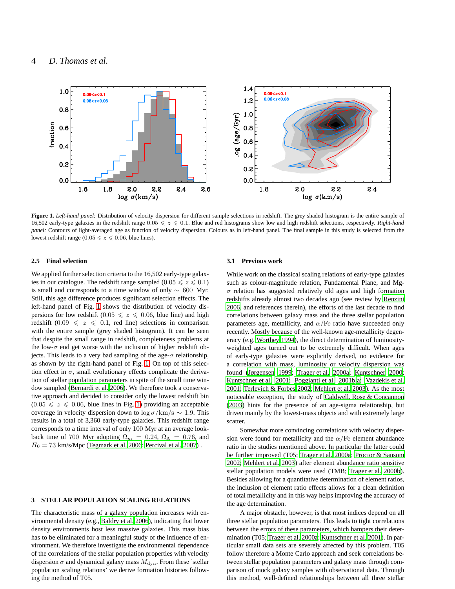

<span id="page-3-0"></span>Figure 1. *Left-hand panel:* Distribution of velocity dispersion for different sample selections in redshift. The grey shaded histogram is the entire sample of 16,502 early-type galaxies in the redshift range  $0.05 \leq z \leq 0.1$ . Blue and red histograms show low and high redshift selections, respectively. *Right-hand panel:* Contours of light-averaged age as function of velocity dispersion. Colours as in left-hand panel. The final sample in this study is selected from the lowest redshift range (0.05  $\leq$   $z \leq$  0.06, blue lines).

### **2.5 Final selection**

We applied further selection criteria to the 16,502 early-type galaxies in our catalogue. The redshift range sampled (0.05  $\le z \le 0.1$ ) is small and corresponds to a time window of only ∼ 600 Myr. Still, this age difference produces significant selection effects. The left-hand panel of Fig. [1](#page-3-0) shows the distribution of velocity dispersions for low redshift (0.05  $\leqslant z \leqslant$  0.06, blue line) and high redshift (0.09  $\leq$   $z \leq$  0.1, red line) selections in comparison with the entire sample (grey shaded histogram). It can be seen that despite the small range in redshift, completeness problems at the low- $\sigma$  end get worse with the inclusion of higher redshift objects. This leads to a very bad sampling of the age- $\sigma$  relationship, as shown by the right-hand panel of Fig. [1.](#page-3-0) On top of this selection effect in  $\sigma$ , small evolutionary effects complicate the derivation of stellar population parameters in spite of the small time window sampled [\(Bernardi et al. 2006\)](#page-13-20). We therefore took a conservative approach and decided to consider only the lowest redshift bin  $(0.05 \le z \le 0.06$ , blue lines in Fig. [1\)](#page-3-0) providing an acceptable coverage in velocity dispersion down to  $\log \sigma/\text{km/s} \sim 1.9$ . This results in a total of 3,360 early-type galaxies. This redshift range corresponds to a time interval of only 100 Myr at an average lookback time of 700 Myr adopting  $\Omega_m = 0.24$ ,  $\Omega_{\Lambda} = 0.76$ , and  $H_0 = 73$  km/s/Mpc [\(Tegmark et al. 2006](#page-14-37); [Percival et al. 2007](#page-14-38)).

### **3 STELLAR POPULATION SCALING RELATIONS**

The characteristic mass of a galaxy population increases with environmental density (e.g., [Baldry et al. 2006](#page-13-24)), indicating that lower density environments host less massive galaxies. This mass bias has to be eliminated for a meaningful study of the influence of environment. We therefore investigate the environmental dependence of the correlations of the stellar population properties with velocity dispersion  $\sigma$  and dynamical galaxy mass  $M_{\rm dyn}$ . From these 'stellar population scaling relations' we derive formation histories following the method of T05.

### **3.1 Previous work**

While work on the classical scaling relations of early-type galaxies such as colour-magnitude relation, Fundamental Plane, and Mg- $\sigma$  relation has suggested relatively old ages and high formation redshifts already almost two decades ago (see review by [Renzini](#page-14-20) [2006](#page-14-20), and references therein), the efforts of the last decade to find correlations between galaxy mass and the three stellar population parameters age, metallicity, and  $\alpha$ /Fe ratio have succeeded only recently. Mostly because of the well-known age-metallicity degeneracy (e.g. [Worthey 1994](#page-15-16)), the direct determination of luminosityweighted ages turned out to be extremely difficult. When ages of early-type galaxies were explicitly derived, no evidence for a correlation with mass, luminosity or velocity dispersion was found [\(Jørgensen 1999](#page-13-25); [Trager et al. 2000a](#page-15-3); [Kuntschner 2000;](#page-14-39) [Kuntschner et al. 2001](#page-14-40); [Poggianti et al. 2001b](#page-14-41)[,a;](#page-14-12) [Vazdekis et al.](#page-15-17) [2001](#page-15-17); [Terlevich & Forbes 2002](#page-14-14); [Mehlert et al. 2003](#page-14-33)). As the most noticeable exception, the study of [Caldwell, Rose & Concannon](#page-13-26) [\(2003](#page-13-26)) hints for the presence of an age-sigma relationship, but driven mainly by the lowest-mass objects and with extremely large scatter.

Somewhat more convincing correlations with velocity dispersion were found for metallicity and the  $\alpha$ /Fe element abundance ratio in the studies mentioned above. In particular the latter could be further improved (T05; [Trager et al. 2000a](#page-15-3); [Proctor & Sansom](#page-14-29) [2002](#page-14-29); [Mehlert et al. 2003](#page-14-33)) after element abundance ratio sensitive stellar population models were used (TMB; [Trager et al. 2000b](#page-15-18)). Besides allowing for a quantitative determination of element ratios, the inclusion of element ratio effects allows for a clean definition of total metallicity and in this way helps improving the accuracy of the age determination.

A major obstacle, however, is that most indices depend on all three stellar population parameters. This leads to tight correlations between the errors of these parameters, which hampers their determination (T05; [Trager et al. 2000a](#page-15-3); [Kuntschner et al. 2001](#page-14-40)). In particular small data sets are severely affected by this problem. T05 follow therefore a Monte Carlo approach and seek correlations between stellar population parameters and galaxy mass through comparison of mock galaxy samples with observational data. Through this method, well-defined relationships between all three stellar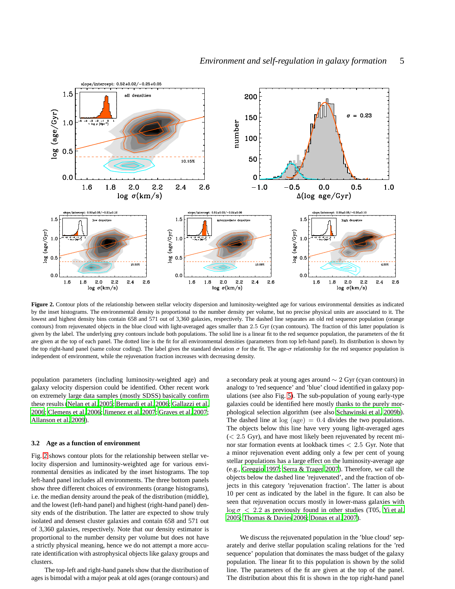

<span id="page-4-0"></span>**Figure 2.** Contour plots of the relationship between stellar velocity dispersion and luminosity-weighted age for various environmental densities as indicated by the inset histograms. The environmental density is proportional to the number density per volume, but no precise physical units are associated to it. The lowest and highest density bins contain 658 and 571 out of 3,360 galaxies, respectively. The dashed line separates an old red sequence population (orange contours) from rejuvenated objects in the blue cloud with light-averaged ages smaller than 2.5 Gyr (cyan contours). The fraction of this latter population is given by the label. The underlying grey contours include both populations. The solid line is a linear fit to the red sequence population, the parameters of the fit are given at the top of each panel. The dotted line is the fit for all environmental densities (parameters from top left-hand panel). Its distribution is shown by the top right-hand panel (same colour coding). The label gives the standard deviation  $\sigma$  for the fit. The age- $\sigma$  relationship for the red sequence population is independent of environment, while the rejuvenation fraction increases with decreasing density.

population parameters (including luminosity-weighted age) and galaxy velocity dispersion could be identified. Other recent work on extremely large data samples (mostly SDSS) basically confirm these results [\(Nelan et al. 2005;](#page-14-42) [Bernardi et al. 2006](#page-13-20); [Gallazzi et al.](#page-13-27) [2006](#page-13-27); [Clemens et al. 2006](#page-13-28); [Jimenez et al. 2007](#page-13-29); [Graves et al. 2007;](#page-13-30) [Allanson et al. 2009](#page-12-2)).

### **3.2 Age as a function of environment**

Fig. [2](#page-4-0) shows contour plots for the relationship between stellar velocity dispersion and luminosity-weighted age for various environmental densities as indicated by the inset histograms. The top left-hand panel includes all environments. The three bottom panels show three different choices of environments (orange histograms), i.e. the median density around the peak of the distribution (middle), and the lowest (left-hand panel) and highest (right-hand panel) density ends of the distribution. The latter are expected to show truly isolated and densest cluster galaxies and contain 658 and 571 out of 3,360 galaxies, respectively. Note that our density estimator is proportional to the number density per volume but does not have a strictly physical meaning, hence we do not attempt a more accurate identification with astrophysical objects like galaxy groups and clusters.

The top-left and right-hand panels show that the distribution of ages is bimodal with a major peak at old ages (orange contours) and

a secondary peak at young ages around ∼ 2 Gyr (cyan contours) in analogy to 'red sequence' and 'blue' cloud identified in galaxy populations (see also Fig. [5\)](#page-7-0). The sub-population of young early-type galaxies could be identified here mostly thanks to the purely morphological selection algorithm (see also [Schawinski et al.](#page-14-43) [2009b](#page-14-43)). The dashed line at  $log (age) = 0.4$  divides the two populations. The objects below this line have very young light-averaged ages  $(< 2.5$  Gyr), and have most likely been rejuvenated by recent minor star formation events at lookback times < 2.5 Gyr. Note that a minor rejuvenation event adding only a few per cent of young stellar populations has a large effect on the luminosity-average age (e.g., [Greggio 1997](#page-13-31); [Serra & Trager 2007](#page-14-44)). Therefore, we call the objects below the dashed line 'rejuvenated', and the fraction of objects in this category 'rejuvenation fraction'. The latter is about 10 per cent as indicated by the label in the figure. It can also be seen that rejuvenation occurs mostly in lower-mass galaxies with  $\log \sigma < 2.2$  as previously found in other studies (T05, [Yi et al.](#page-15-19) [2005](#page-15-19); [Thomas & Davies 2006](#page-14-30); [Donas et al. 2007](#page-13-32)).

We discuss the rejuvenated population in the 'blue cloud' separately and derive stellar population scaling relations for the 'red sequence' population that dominates the mass budget of the galaxy population. The linear fit to this population is shown by the solid line. The parameters of the fit are given at the top of the panel. The distribution about this fit is shown in the top right-hand panel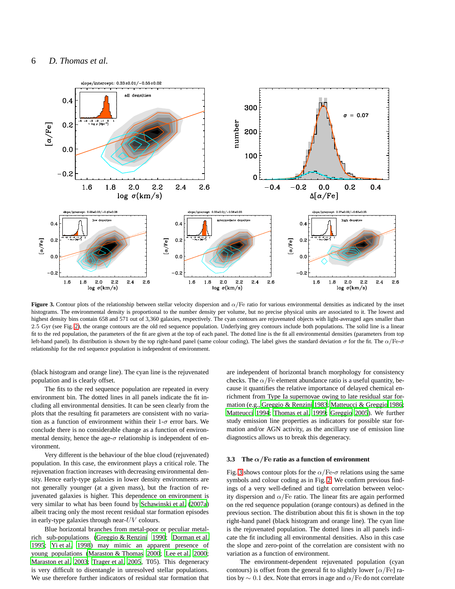

<span id="page-5-0"></span>**Figure 3.** Contour plots of the relationship between stellar velocity dispersion and  $\alpha$ /Fe ratio for various environmental densities as indicated by the inset histograms. The environmental density is proportional to the number density per volume, but no precise physical units are associated to it. The lowest and highest density bins contain 658 and 571 out of 3,360 galaxies, respectively. The cyan contours are rejuvenated objects with light-averaged ages smaller than 2.5 Gyr (see Fig. [2\)](#page-4-0), the orange contours are the old red sequence population. Underlying grey contours include both populations. The solid line is a linear fit to the red population, the parameters of the fit are given at the top of each panel. The dotted line is the fit all environmental densities (parameters from top left-hand panel). Its distribution is shown by the top right-hand panel (same colour coding). The label gives the standard deviation  $\sigma$  for the fit. The  $\alpha$ /Fe- $\sigma$ relationship for the red sequence population is independent of environment.

(black histogram and orange line). The cyan line is the rejuvenated population and is clearly offset.

The fits to the red sequence population are repeated in every environment bin. The dotted lines in all panels indicate the fit including all environmental densities. It can be seen clearly from the plots that the resulting fit parameters are consistent with no variation as a function of environment within their  $1-\sigma$  error bars. We conclude there is no considerable change as a function of environmental density, hence the age- $\sigma$  relationship is independent of environment.

Very different is the behaviour of the blue cloud (rejuvenated) population. In this case, the environment plays a critical role. The rejuvenation fraction increases with decreasing environmental density. Hence early-type galaxies in lower density environments are not generally younger (at a given mass), but the fraction of rejuvenated galaxies is higher. This dependence on environment is very similar to what has been found by [Schawinski et al. \(2007a](#page-14-17)) albeit tracing only the most recent residual star formation episodes in early-type galaxies through near-UV colours.

Blue horizontal branches from metal-poor or peculiar metalrich sub-populations [\(Greggio & Renzini 1990;](#page-13-33) [Dorman et al.](#page-13-34) [1995;](#page-13-34) [Yi et al. 1998\)](#page-15-20) may mimic an apparent presence of young populations [\(Maraston & Thomas 2000;](#page-14-45) [Lee et al. 2000;](#page-14-46) [Maraston et al. 2003;](#page-14-31) [Trager et al. 2005](#page-15-21), T05). This degeneracy is very difficult to disentangle in unresolved stellar populations. We use therefore further indicators of residual star formation that are independent of horizontal branch morphology for consistency checks. The  $\alpha$ /Fe element abundance ratio is a useful quantity, because it quantifies the relative importance of delayed chemical enrichment from Type Ia supernovae owing to late residual star formation (e.g., [Greggio & Renzini 1983;](#page-13-35) [Matteucci & Greggio 1986;](#page-14-47) [Matteucci 1994](#page-14-48); [Thomas et al. 1999;](#page-14-49) [Greggio 2005](#page-13-36)). We further study emission line properties as indicators for possible star formation and/or AGN activity, as the ancillary use of emission line diagnostics allows us to break this degeneracy.

### **3.3** The  $\alpha$ /Fe ratio as a function of environment

Fig. [3](#page-5-0) shows contour plots for the  $\alpha$ /Fe- $\sigma$  relations using the same symbols and colour coding as in Fig. [2.](#page-4-0) We confirm previous findings of a very well-defined and tight correlation between velocity dispersion and  $\alpha$ /Fe ratio. The linear fits are again performed on the red sequence population (orange contours) as defined in the previous section. The distribution about this fit is shown in the top right-hand panel (black histogram and orange line). The cyan line is the rejuvenated population. The dotted lines in all panels indicate the fit including all environmental densities. Also in this case the slope and zero-point of the correlation are consistent with no variation as a function of environment.

The environment-dependent rejuvenated population (cyan contours) is offset from the general fit to slightly lower [ $\alpha$ /Fe] ratios by  $\sim 0.1$  dex. Note that errors in age and  $\alpha$ /Fe do not correlate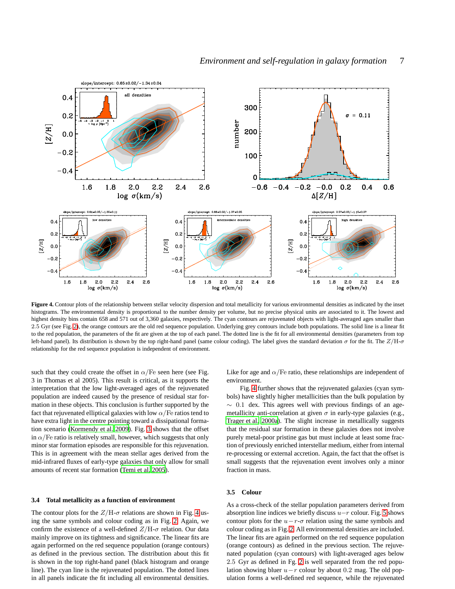

<span id="page-6-0"></span>Figure 4. Contour plots of the relationship between stellar velocity dispersion and total metallicity for various environmental densities as indicated by the inset histograms. The environmental density is proportional to the number density per volume, but no precise physical units are associated to it. The lowest and highest density bins contain 658 and 571 out of 3,360 galaxies, respectively. The cyan contours are rejuvenated objects with light-averaged ages smaller than 2.5 Gyr (see Fig. [2\)](#page-4-0), the orange contours are the old red sequence population. Underlying grey contours include both populations. The solid line is a linear fit to the red population, the parameters of the fit are given at the top of each panel. The dotted line is the fit for all environmental densities (parameters from top left-hand panel). Its distribution is shown by the top right-hand panel (same colour coding). The label gives the standard deviation  $\sigma$  for the fit. The  $Z/H - \sigma$ relationship for the red sequence population is independent of environment.

such that they could create the offset in  $\alpha$ /Fe seen here (see Fig. 3 in Thomas et al 2005). This result is critical, as it supports the interpretation that the low light-averaged ages of the rejuvenated population are indeed caused by the presence of residual star formation in these objects. This conclusion is further supported by the fact that rejuvenated elliptical galaxies with low  $\alpha$ /Fe ratios tend to have extra light in the centre pointing toward a dissipational formation scenario [\(Kormendy et al. 2009](#page-14-50)). Fig. [3](#page-5-0) shows that the offset in  $\alpha$ /Fe ratio is relatively small, however, which suggests that only minor star formation episodes are responsible for this rejuvenation. This is in agreement with the mean stellar ages derived from the mid-infrared fluxes of early-type galaxies that only allow for small amounts of recent star formation [\(Temi et al. 2005](#page-14-51)).

### **3.4 Total metallicity as a function of environment**

The contour plots for the  $Z/H$ - $\sigma$  relations are shown in Fig. [4](#page-6-0) using the same symbols and colour coding as in Fig. [2.](#page-4-0) Again, we confirm the existence of a well-defined  $Z/H$ - $\sigma$  relation. Our data mainly improve on its tightness and significance. The linear fits are again performed on the red sequence population (orange contours) as defined in the previous section. The distribution about this fit is shown in the top right-hand panel (black histogram and orange line). The cyan line is the rejuvenated population. The dotted lines in all panels indicate the fit including all environmental densities.

Like for age and  $\alpha$ /Fe ratio, these relationships are independent of environment.

Fig. [4](#page-6-0) further shows that the rejuvenated galaxies (cyan symbols) have slightly higher metallicities than the bulk population by  $\sim$  0.1 dex. This agrees well with previous findings of an agemetallicity anti-correlation at given  $\sigma$  in early-type galaxies (e.g., [Trager et al. 2000a\)](#page-15-3). The slight increase in metallically suggests that the residual star formation in these galaxies does not involve purely metal-poor pristine gas but must include at least some fraction of previously enriched interstellar medium, either from internal re-processing or external accretion. Again, the fact that the offset is small suggests that the rejuvenation event involves only a minor fraction in mass.

### **3.5 Colour**

As a cross-check of the stellar population parameters derived from absorption line indices we briefly discuss u−r colour. Fig. [5](#page-7-0) shows contour plots for the  $u-r-*\sigma*$  relation using the same symbols and colour coding as in Fig. [2.](#page-4-0) All environmental densities are included. The linear fits are again performed on the red sequence population (orange contours) as defined in the previous section. The rejuvenated population (cyan contours) with light-averaged ages below 2.5 Gyr as defined in Fg. [2](#page-4-0) is well separated from the red population showing bluer  $u-r$  colour by about 0.2 mag. The old population forms a well-defined red sequence, while the rejuvenated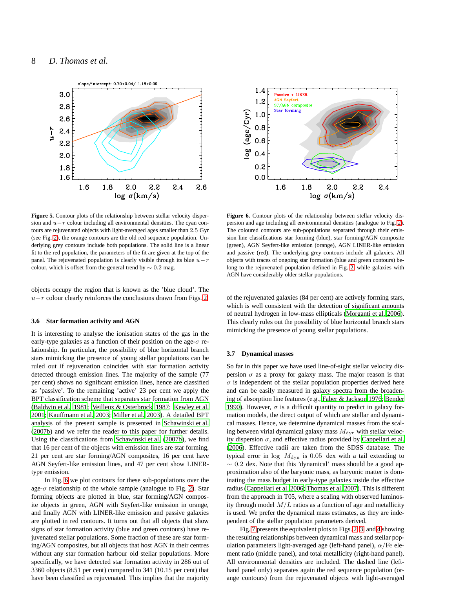

<span id="page-7-0"></span>**Figure 5.** Contour plots of the relationship between stellar velocity dispersion and u−r colour including all environmental densities. The cyan contours are rejuvenated objects with light-averaged ages smaller than 2.5 Gyr (see Fig. [2\)](#page-4-0), the orange contours are the old red sequence population. Underlying grey contours include both populations. The solid line is a linear fit to the red population, the parameters of the fit are given at the top of the panel. The rejuvenated population is clearly visible through its blue  $u-r$ colour, which is offset from the general trend by  $\sim 0.2$  mag.

objects occupy the region that is known as the 'blue cloud'. The  $u-r$  colour clearly reinforces the conclusions drawn from Figs. [2.](#page-4-0)

### **3.6 Star formation activity and AGN**

It is interesting to analyse the ionisation states of the gas in the early-type galaxies as a function of their position on the age- $\sigma$  relationship. In particular, the possibility of blue horizontal branch stars mimicking the presence of young stellar populations can be ruled out if rejuvenation coincides with star formation activity detected through emission lines. The majority of the sample (77 per cent) shows no significant emission lines, hence are classified as 'passive'. To the remaining 'active' 23 per cent we apply the BPT classification scheme that separates star formation from AGN [\(Baldwin et al. 1981](#page-13-37); [Veilleux & Osterbrock 1987](#page-15-22); [Kewley et al.](#page-14-52) [2001](#page-14-52); [Kauffmann et al. 2003;](#page-13-38) [Miller et al. 2003](#page-14-53)). A detailed BPT analysis of the present sample is presented in [Schawinski et](#page-14-24) al. [\(2007b](#page-14-24)) and we refer the reader to this paper for further details. Using the classifications from [Schawinski et al.](#page-14-24) [\(2007b](#page-14-24)), we find that 16 per cent of the objects with emission lines are star forming, 21 per cent are star forming/AGN composites, 16 per cent have AGN Seyfert-like emission lines, and 47 per cent show LINERtype emission.

In Fig. [6](#page-7-1) we plot contours for these sub-populations over the age- $\sigma$  relationship of the whole sample (analogue to Fig. [2\)](#page-4-0). Star forming objects are plotted in blue, star forming/AGN composite objects in green, AGN with Seyfert-like emission in orange, and finally AGN with LINER-like emission and passive galaxies are plotted in red contours. It turns out that all objects that show signs of star formation activity (blue and green contours) have rejuvenated stellar populations. Some fraction of these are star forming/AGN composites, but all objects that host AGN in their centres without any star formation harbour old stellar populations. More specifically, we have detected star formation activity in 286 out of 3360 objects (8.51 per cent) compared to 341 (10.15 per cent) that have been classified as rejuvenated. This implies that the majority



<span id="page-7-1"></span>Figure 6. Contour plots of the relationship between stellar velocity dispersion and age including all environmental densities (analogue to Fig. [2\)](#page-4-0). The coloured contours are sub-populations separated through their emission line classifications star forming (blue), star forming/AGN composite (green), AGN Seyfert-like emission (orange), AGN LINER-like emission and passive (red). The underlying grey contours include all galaxies. All objects with traces of ongoing star formation (blue and green contours) belong to the rejuvenated population defined in Fig. [2,](#page-4-0) while galaxies with AGN have considerably older stellar populations.

of the rejuvenated galaxies (84 per cent) are actively forming stars, which is well consistent with the detection of significant amounts of neutral hydrogen in low-mass ellipticals [\(Morganti et al. 2006](#page-14-54)). This clearly rules out the possibility of blue horizontal branch stars mimicking the presence of young stellar populations.

### **3.7 Dynamical masses**

So far in this paper we have used line-of-sight stellar velocity dispersion  $\sigma$  as a proxy for galaxy mass. The major reason is that  $\sigma$  is independent of the stellar population properties derived here and can be easily measured in galaxy spectra from the broadening of absorption line features (e.g., [Faber & Jackson 1976;](#page-13-39) [Bender](#page-13-40) [1990](#page-13-40)). However,  $\sigma$  is a difficult quantity to predict in galaxy formation models, the direct output of which are stellar and dynamical masses. Hence, we determine dynamical masses from the scaling between virial dynamical galaxy mass  $M_{\text{dyn}}$  with stellar velocity dispersion  $\sigma$ , and effective radius provided by [Cappellari et al.](#page-13-41) [\(2006](#page-13-41)). Effective radii are taken from the SDSS database. The typical error in  $log M_{dyn}$  is 0.05 dex with a tail extending to  $\sim 0.2$  dex. Note that this 'dynamical' mass should be a good approximation also of the baryonic mass, as baryonic matter is dominating the mass budget in early-type galaxies inside the effective radius [\(Cappellari et al. 2006](#page-13-41); [Thomas et al. 2007](#page-15-23)). This is different from the approach in T05, where a scaling with observed luminosity through model  $M/L$  ratios as a function of age and metallicity is used. We prefer the dynamical mass estimates, as they are independent of the stellar population parameters derived.

Fig. [7](#page-8-0) presents the equivalent plots to Figs. [2,](#page-4-0) [3,](#page-5-0) and [4](#page-6-0) showing the resulting relationships between dynamical mass and stellar population parameters light-averaged age (left-hand panel),  $\alpha$ /Fe element ratio (middle panel), and total metallicity (right-hand panel). All environmental densities are included. The dashed line (lefthand panel only) separates again the red sequence population (orange contours) from the rejuvenated objects with light-averaged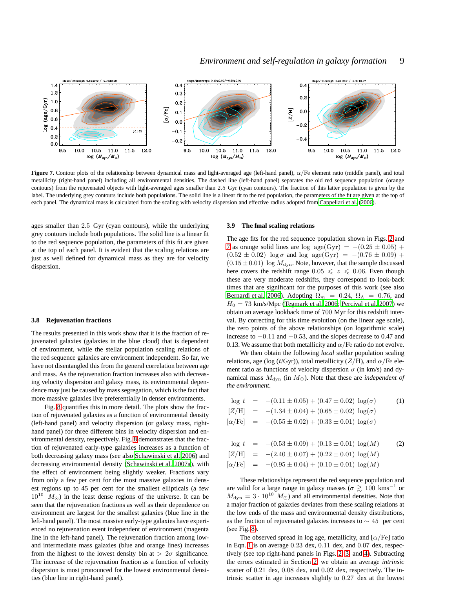

<span id="page-8-0"></span>**Figure 7.** Contour plots of the relationship between dynamical mass and light-averaged age (left-hand panel),  $\alpha$ /Fe element ratio (middle panel), and total metallicity (right-hand panel) including all environmental densities. The dashed line (left-hand panel) separates the old red sequence population (orange contours) from the rejuvenated objects with light-averaged ages smaller than 2.5 Gyr (cyan contours). The fraction of this latter population is given by the label. The underlying grey contours include both populations. The solid line is a linear fit to the red population, the parameters of the fit are given at the top of each panel. The dynamical mass is calculated from the scaling with velocity dispersion and effective radius adopted from [Cappellari et al. \(2006\)](#page-13-41).

ages smaller than 2.5 Gyr (cyan contours), while the underlying grey contours include both populations. The solid line is a linear fit to the red sequence population, the parameters of this fit are given at the top of each panel. It is evident that the scaling relations are just as well defined for dynamical mass as they are for velocity dispersion.

### **3.8 Rejuvenation fractions**

The results presented in this work show that it is the fraction of rejuvenated galaxies (galaxies in the blue cloud) that is dependent of environment, while the stellar population scaling relations of the red sequence galaxies are environment independent. So far, we have not disentangled this from the general correlation between age and mass. As the rejuvenation fraction increases also with decreasing velocity dispersion and galaxy mass, its environmental dependence may just be caused by mass segregation, which is the fact that more massive galaxies live preferentially in denser environments.

Fig. [8](#page-9-0) quantifies this in more detail. The plots show the fraction of rejuvenated galaxies as a function of environmental density (left-hand panel) and velocity dispersion (or galaxy mass, righthand panel) for three different bins in velocity dispersion and environmental density, respectively. Fig. [8](#page-9-0) demonstrates that the fraction of rejuvenated early-type galaxies increases as a function of both decreasing galaxy mass (see also [Schawinski et al. 2006\)](#page-14-55) and decreasing environmental density [\(Schawinski et al. 2007a\)](#page-14-17), with the effect of environment being slightly weaker. Fractions vary from only a few per cent for the most massive galaxies in densest regions up to 45 per cent for the smallest ellipticals (a few  $10^{10}$   $M_{\odot}$ ) in the least dense regions of the universe. It can be seen that the rejuvenation fractions as well as their dependence on environment are largest for the smallest galaxies (blue line in the left-hand panel). The most massive early-type galaxies have experienced no rejuvenation event independent of environment (magenta line in the left-hand panel). The rejuvenation fraction among lowand intermediate mass galaxies (blue and orange lines) increases from the highest to the lowest density bin at  $> 2\sigma$  significance. The increase of the rejuvenation fraction as a function of velocity dispersion is most pronounced for the lowest environmental densities (blue line in right-hand panel).

### **3.9 The final scaling relations**

The age fits for the red sequence population shown in Figs. [2](#page-4-0) and [7](#page-8-0) as orange solid lines are log  $age(Gyr) = -(0.25 \pm 0.05) +$  $(0.52 \pm 0.02)$  log  $\sigma$  and log age(Gyr) = -(0.76 ± 0.09) +  $(0.15 \pm 0.01)$  log  $M_{dyn}$ . Note, however, that the sample discussed here covers the redshift range  $0.05 \le z \le 0.06$ . Even though these are very moderate redshifts, they correspond to look-back times that are significant for the purposes of this work (see also [Bernardi et al. 2006\)](#page-13-20). Adopting  $\Omega_m = 0.24$ ,  $\Omega_{\Lambda} = 0.76$ , and  $H_0 = 73$  km/s/Mpc [\(Tegmark et al. 2006;](#page-14-37) [Percival et al. 2007](#page-14-38)) we obtain an average lookback time of 700 Myr for this redshift interval. By correcting for this time evolution (on the linear age scale), the zero points of the above relationships (on logarithmic scale) increase to −0.11 and −0.53, and the slopes decrease to 0.47 and 0.13. We assume that both metallicity and  $\alpha$ /Fe ratio do not evolve.

We then obtain the following *local* stellar population scaling relations, age (log (t/Gyr)), total metallicity ( $Z/H$ ), and  $\alpha$ /Fe element ratio as functions of velocity dispersion  $\sigma$  (in km/s) and dynamical mass  $M_{\text{dyn}}$  (in  $M_{\odot}$ ). Note that these are *independent of the environment*.

<span id="page-8-1"></span>
$$
\log t = -(0.11 \pm 0.05) + (0.47 \pm 0.02) \log(\sigma)
$$
 (1)  
[Z/H] = -(1.34 \pm 0.04) + (0.65 \pm 0.02) log(\sigma)

$$
[\alpha/\text{Fe}] = -(0.55 \pm 0.02) + (0.33 \pm 0.01) \log(\sigma)
$$

<span id="page-8-2"></span>
$$
\log t = -(0.53 \pm 0.09) + (0.13 \pm 0.01) \log(M)
$$
\n
$$
[Z/H] = -(2.40 \pm 0.07) + (0.22 \pm 0.01) \log(M)
$$
\n
$$
[\alpha/\text{Fe}] = -(0.95 \pm 0.04) + (0.10 \pm 0.01) \log(M)
$$

These relationships represent the red sequence population and are valid for a large range in galaxy masses ( $\sigma \gtrsim 100 \text{ km s}^{-1}$  or  $M_{\text{dyn}} = 3 \cdot 10^{10}$   $M_{\odot}$ ) and all environmental densities. Note that a major fraction of galaxies deviates from these scaling relations at the low ends of the mass and environmental density distributions, as the fraction of rejuvenated galaxies increases to ∼ 45 per cent (see Fig. [8\)](#page-9-0).

The observed spread in log age, metallicity, and  $\lceil \alpha/\text{Fe} \rceil$  ratio in Eqn. [1](#page-8-1) is on average 0.23 dex, 0.11 dex, and 0.07 dex, respectively (see top right-hand panels in Figs. [2,](#page-4-0) [3,](#page-5-0) and [4\)](#page-6-0). Subtracting the errors estimated in Section [2,](#page-1-0) we obtain an average *intrinsic* scatter of 0.21 dex, 0.08 dex, and 0.02 dex, respectively. The intrinsic scatter in age increases slightly to 0.27 dex at the lowest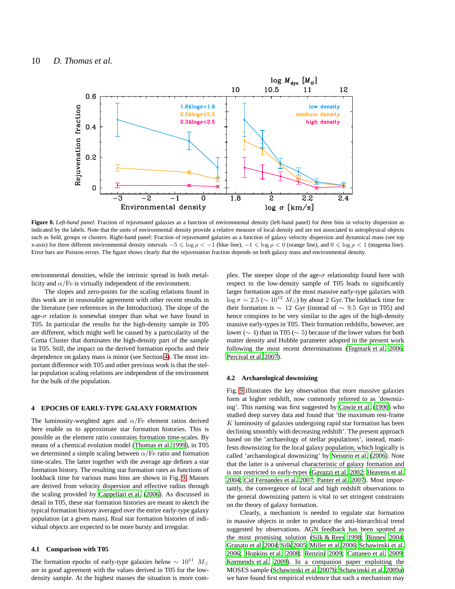

<span id="page-9-0"></span>**Figure 8.** *Left-hand panel:* Fraction of rejuvenated galaxies as a function of environmental density (left-hand panel) for three bins in velocity dispersion as indicated by the labels. Note that the units of environmental density provide a relative measure of local density and are not associated to astrophysical objects such as field, groups or clusters. Right-hand panel: Fraction of rejuvenated galaxies as a function of galaxy velocity dispersion and dynamical mass (see top x-axis) for three different environmental density intervals  $-5 \le \log \rho < -1$  (blue line),  $-1 \le \log \rho < 0$  (orange line), and  $0 \le \log \rho < 1$  (magenta line). Error bars are Poisson errors. The figure shows clearly that the rejuvenation fraction depends on both galaxy mass and environmental density.

environmental densities, while the intrinsic spread in both metallicity and  $\alpha$ /Fe is virtually independent of the environment.

The slopes and zero-points for the scaling relations found in this work are in reasonable agreement with other recent results in the literature (see references in the Introduction). The slope of the age- $\sigma$  relation is somewhat steeper than what we have found in T05. In particular the results for the high-density sample in T05 are different, which might well be caused by a particularity of the Coma Cluster that dominates the high-density part of the sample in T05. Still, the impact on the derived formation epochs and their dependence on galaxy mass is minor (see Section [4\)](#page-9-1). The most important difference with T05 and other previous work is that the stellar population scaling relations are independent of the environment for the bulk of the population.

### <span id="page-9-1"></span>**4 EPOCHS OF EARLY-TYPE GALAXY FORMATION**

The luminosity-weighted ages and  $\alpha$ /Fe element ratios derived here enable us to approximate star formation histories. This is possible as the element ratio constrains formation time-scales. By means of a chemical evolution model [\(Thomas et al. 1999](#page-14-49)), in T05 we determined a simple scaling between  $\alpha$ /Fe ratio and formation time-scales. The latter together with the average age defines a star formation history. The resulting star formation rates as functions of lookback time for various mass bins are shown in Fig. [9.](#page-10-0) Masses are derived from velocity dispersion and effective radius through the scaling provided by [Cappellari et al. \(2006](#page-13-41)). As discussed in detail in T05, these star formation histories are meant to sketch the typical formation history averaged over the entire early-type galaxy population (at a given mass). Real star formation histories of individual objects are expected to be more bursty and irregular.

### **4.1 Comparison with T05**

The formation epochs of early-type galaxies below  $\sim 10^{11}$  M<sub>☉</sub> are in good agreement with the values derived in T05 for the lowdensity sample. At the highest masses the situation is more com-

plex. The steeper slope of the age- $\sigma$  relationship found here with respect to the low-density sample of T05 leads to significantly larger formation ages of the most massive early-type galaxies with  $\log \sigma \sim 2.5 \ (\sim 10^{12} M_{\odot})$  by about 2 Gyr. The lookback time for their formation is  $\sim$  12 Gyr (instead of  $\sim$  9.5 Gyr in T05) and hence conspires to be very similar to the ages of the high-density massive early-types in T05. Their formation redshifts, however, are lower (∼ 4) than in T05 (∼ 5) because of the lower values for both matter density and Hubble parameter adopted in the present work following the most recent determinations [\(Tegmark et al. 2006;](#page-14-37) [Percival et al. 2007\)](#page-14-38).

### **4.2 Archaeological downsizing**

Fig. [9](#page-10-0) illustrates the key observation that more massive galaxies form at higher redshift, now commonly referred to as 'downsizing'. This naming was first suggested by [Cowie et al. \(1996\)](#page-13-42) who studied deep survey data and found that 'the maximum rest-frame  $K$  luminosity of galaxies undergoing rapid star formation has been declining smoothly with decreasing redshift'. The present approach based on the 'archaeology of stellar populations', instead, manifests downsizing for the local galaxy population, which logically is called 'archaeological downsizing' by [Neistein et al. \(2006\)](#page-14-56). Note that the latter is a universal characteristic of galaxy formation and is not restricted to early-types [\(Gavazzi et al. 2002;](#page-13-43) [Heavens et al.](#page-13-44) [2004](#page-13-44); [Cid Fernandes et al. 2007](#page-13-45); [Panter et al. 2007](#page-14-57)). Most importantly, the convergence of local and high redshift observations to the general downsizing pattern is vital to set stringent constraints on the theory of galaxy formation.

Clearly, a mechanism is needed to regulate star formation in massive objects in order to produce the anti-hierarchical trend suggested by observations. AGN feedback has been spotted as the most promising solution [\(Silk & Rees 1998](#page-14-58); [Binney 2004;](#page-13-46) [Granato et al. 2004](#page-13-47); [Silk 2005](#page-14-59); [Miller et al. 2006;](#page-14-60) [Schawinski et al.](#page-14-55) [2006](#page-14-55); [Hopkins et al. 2008;](#page-13-48) [Renzini 2009](#page-14-61); [Cattaneo et al. 2009;](#page-13-49) [Kormendy et al. 2009](#page-14-50)). In a companion paper exploiting the MOSES sample [\(Schawinski et al. 2007b](#page-14-24); [Schawinski et al. 2009a](#page-14-62)) we have found first empirical evidence that such a mechanism may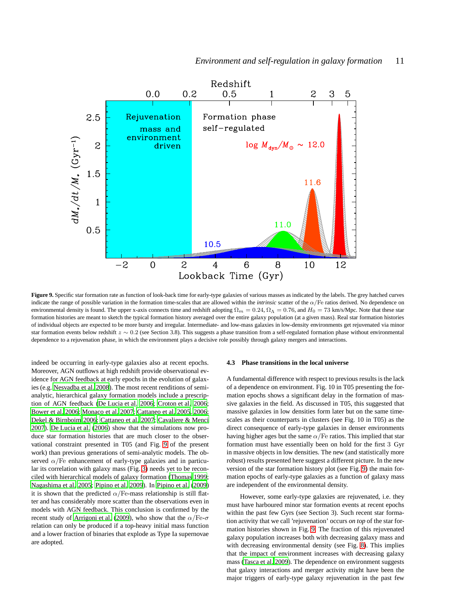

<span id="page-10-0"></span>**Figure 9.** Specific star formation rate as function of look-back time for early-type galaxies of various masses as indicated by the labels. The grey hatched curves indicate the range of possible variation in the formation time-scales that are allowed within the *intrinsic* scatter of the α/Fe ratios derived. No dependence on environmental density is found. The upper x-axis connects time and redshift adopting  $\Omega_m = 0.24$ ,  $\Omega_{\Lambda} = 0.76$ , and  $H_0 = 73$  km/s/Mpc. Note that these star formation histories are meant to sketch the typical formation history averaged over the entire galaxy population (at a given mass). Real star formation histories of individual objects are expected to be more bursty and irregular. Intermediate- and low-mass galaxies in low-density environments get rejuvenated via minor star formation events below redshift  $z \sim 0.2$  (see Section 3.8). This suggests a phase transition from a self-regulated formation phase without environmental dependence to a rejuvenation phase, in which the environment plays a decisive role possibly through galaxy mergers and interactions.

indeed be occurring in early-type galaxies also at recent epochs. Moreover, AGN outflows at high redshift provide observational evidence for AGN feedback at early epochs in the evolution of galaxies (e.g. [Nesvadba et al. 2008\)](#page-14-63). The most recent renditions of semianalytic, hierarchical galaxy formation models include a prescription of AGN feedback [\(De Lucia et al. 2006](#page-13-50); [Croton et al. 2006;](#page-13-51) [Bower et al. 2006](#page-13-52); [Monaco et al. 2007;](#page-14-64) [Cattaneo et al. 2005](#page-13-53), [2006;](#page-13-54) [Dekel & Birnboim 2006;](#page-13-55) [Cattaneo et al. 2007](#page-13-56); [Cavaliere & Menci](#page-13-57) [2007\)](#page-13-57). [De Lucia et al. \(2006](#page-13-50)) show that the simulations now produce star formation histories that are much closer to the observational constraint presented in T05 (and Fig. [9](#page-10-0) of the present work) than previous generations of semi-analytic models. The observed  $\alpha$ /Fe enhancement of early-type galaxies and in particular its correlation with galaxy mass (Fig. [3\)](#page-5-0) needs yet to be reconciled with hierarchical models of galaxy formation [\(Thomas](#page-14-65) [1999;](#page-14-65) [Nagashima et al. 2005;](#page-14-66) [Pipino et al. 2009](#page-14-67)). In [Pipino et al. \(2009](#page-14-67)) it is shown that the predicted  $\alpha$ /Fe-mass relationship is still flatter and has considerably more scatter than the observations even in models with AGN feedback. This conclusion is confirmed by the recent study of [Arrigoni et al. \(2009](#page-13-58)), who show that the  $\alpha$ /Fe- $\sigma$ relation can only be produced if a top-heavy initial mass function and a lower fraction of binaries that explode as Type Ia supernovae are adopted.

### **4.3 Phase transitions in the local universe**

A fundamental difference with respect to previous results is the lack of a dependence on environment. Fig. 10 in T05 presenting the formation epochs shows a significant delay in the formation of massive galaxies in the field. As discussed in T05, this suggested that massive galaxies in low densities form later but on the same timescales as their counterparts in clusters (see Fig. 10 in T05) as the direct consequence of early-type galaxies in denser environments having higher ages but the same  $\alpha$ /Fe ratios. This implied that star formation must have essentially been on hold for the first 3 Gyr in massive objects in low densities. The new (and statistically more robust) results presented here suggest a different picture. In the new version of the star formation history plot (see Fig. [9\)](#page-10-0) the main formation epochs of early-type galaxies as a function of galaxy mass are independent of the environmental density.

However, some early-type galaxies are rejuvenated, i.e. they must have harboured minor star formation events at recent epochs within the past few Gyrs (see Section 3). Such recent star formation activity that we call 'rejuvenation' occurs *on top* of the star formation histories shown in Fig. [9.](#page-10-0) The fraction of this rejuvenated galaxy population increases both with decreasing galaxy mass and with decreasing environmental density (see Fig. [8\)](#page-9-0). This implies that the impact of environment increases with decreasing galaxy mass [\(Tasca et al. 2009\)](#page-14-8). The dependence on environment suggests that galaxy interactions and merger activity might have been the major triggers of early-type galaxy rejuvenation in the past few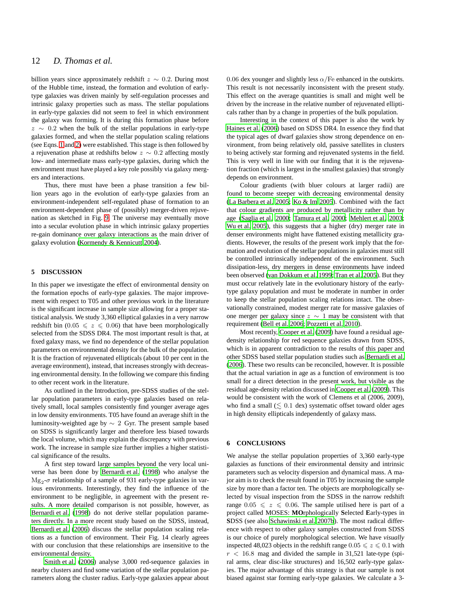billion years since approximately redshift  $z \sim 0.2$ . During most of the Hubble time, instead, the formation and evolution of earlytype galaxies was driven mainly by self-regulation processes and intrinsic galaxy properties such as mass. The stellar populations in early-type galaxies did not seem to feel in which environment the galaxy was forming. It is during this formation phase before  $z \sim 0.2$  when the bulk of the stellar populations in early-type galaxies formed, and when the stellar population scaling relations (see Eqns. [1](#page-8-1) and [2\)](#page-8-2) were established. This stage is then followed by a rejuvenation phase at redshifts below  $z \sim 0.2$  affecting mostly low- and intermediate mass early-type galaxies, during which the environment must have played a key role possibly via galaxy mergers and interactions.

Thus, there must have been a phase transition a few billion years ago in the evolution of early-type galaxies from an environment-independent self-regulated phase of formation to an environment-dependent phase of (possibly) merger-driven rejuvenation as sketched in Fig. [9.](#page-10-0) The universe may eventually move into a secular evolution phase in which intrinsic galaxy properties re-gain dominance over galaxy interactions as the main driver of galaxy evolution [\(Kormendy & Kennicutt 2004\)](#page-14-68).

### **5 DISCUSSION**

In this paper we investigate the effect of environmental density on the formation epochs of early-type galaxies. The major improvement with respect to T05 and other previous work in the literature is the significant increase in sample size allowing for a proper statistical analysis. We study 3,360 elliptical galaxies in a very narrow redshift bin (0.05  $\leq$   $z \leq$  0.06) that have been morphologically selected from the SDSS DR4. The most important result is that, at fixed galaxy mass, we find no dependence of the stellar population parameters on environmental density for the bulk of the population. It is the fraction of rejuvenated ellipticals (about 10 per cent in the average environment), instead, that increases strongly with decreasing environmental density. In the following we compare this finding to other recent work in the literature.

As outlined in the Introduction, pre-SDSS studies of the stellar population parameters in early-type galaxies based on relatively small, local samples consistently find younger average ages in low density environments. T05 have found an average shift in the luminosity-weighted age by  $\sim 2$  Gyr. The present sample based on SDSS is significantly larger and therefore less biased towards the local volume, which may explain the discrepancy with previous work. The increase in sample size further implies a higher statistical significance of the results.

A first step toward large samples beyond the very local universe has been done by [Bernardi et al. \(1998\)](#page-13-59) who analyse the  $Mg_2$ - $\sigma$  relationship of a sample of 931 early-type galaxies in various environments. Interestingly, they find the influence of the environment to be negligible, in agreement with the present results. A more detailed comparison is not possible, however, as [Bernardi et al.](#page-13-59) [\(1998](#page-13-59)) do not derive stellar population parameters directly. In a more recent study based on the SDSS, instead, [Bernardi et al.](#page-13-20) [\(2006](#page-13-20)) discuss the stellar population scaling relations as a function of environment. Their Fig. 14 clearly agrees with our conclusion that these relationships are insensitive to the environmental density.

[Smith et al. \(2006](#page-14-69)) analyse 3,000 red-sequence galaxies in nearby clusters and find some variation of the stellar population parameters along the cluster radius. Early-type galaxies appear about

0.06 dex younger and slightly less  $\alpha$ /Fe enhanced in the outskirts. This result is not necessarily inconsistent with the present study. This effect on the average quantities is small and might well be driven by the increase in the relative number of rejuvenated ellipticals rather than by a change in properties of the bulk population.

Interesting in the context of this paper is also the work by [Haines et al. \(2006\)](#page-13-60) based on SDSS DR4. In essence they find that the typical ages of dwarf galaxies show strong dependence on environment, from being relatively old, passive satellites in clusters to being actively star forming and rejuvenated systems in the field. This is very well in line with our finding that it is the rejuvenation fraction (which is largest in the smallest galaxies) that strongly depends on environment.

Colour gradients (with bluer colours at larger radii) are found to become steeper with decreasing environmental density [\(La Barbera et al. 2005](#page-14-70); [Ko & Im 2005](#page-14-71)). Combined with the fact that colour gradients are produced by metallicity rather than by age [\(Saglia et al. 2000](#page-14-35); [Tamura et al. 2000;](#page-14-36) [Mehlert et al. 2003;](#page-14-33) [Wu et al. 2005\)](#page-15-15), this suggests that a higher (dry) merger rate in denser environments might have flattened existing metallicity gradients. However, the results of the present work imply that the formation and evolution of the stellar populations in galaxies must still be controlled intrinsically independent of the environment. Such dissipation-less, dry mergers in dense environments have indeed been observed [\(van Dokkum et al. 1999;](#page-15-24) [Tran et al. 2005](#page-15-25)). But they must occur relatively late in the evolutionary history of the earlytype galaxy population and must be moderate in number in order to keep the stellar population scaling relations intact. The observationally constrained, modest merger rate for massive galaxies of one merger per galaxy since  $z \sim 1$  may be consistent with that requirement [\(Bell et al. 2006](#page-13-61); [Pozzetti et al. 2010\)](#page-14-72).

Most recently, [Cooper et al. \(2009](#page-13-62)) have found a residual agedensity relationship for red sequence galaxies drawn from SDSS, which is in apparent contradiction to the results of this paper and other SDSS based stellar population studies such as [Bernardi et al.](#page-13-20) [\(2006](#page-13-20)). These two results can be reconciled, however. It is possible that the actual variation in age as a function of environment is too small for a direct detection in the present work, but visible as the residual age-density relation discussed in [Cooper et al. \(2009](#page-13-62)). This would be consistent with the work of Clemens et al (2006, 2009), who find a small  $(\leq 0.1$  dex) systematic offset toward older ages in high density ellipticals independently of galaxy mass.

### **6 CONCLUSIONS**

We analyse the stellar population properties of 3,360 early-type galaxies as functions of their environmental density and intrinsic parameters such as velocity dispersion and dynamical mass. A major aim is to check the result found in T05 by increasing the sample size by more than a factor ten. The objects are morphologically selected by visual inspection from the SDSS in the narrow redshift range  $0.05 \le z \le 0.06$ . The sample utilised here is part of a project called MOSES: **MO**rphologically **S**elected **E**arly-types in **S**DSS (see also [Schawinski et al. 2007b\)](#page-14-24). The most radical difference with respect to other galaxy samples constructed from SDSS is our choice of purely morphological selection. We have *visually* inspected 48,023 objects in the redshift range  $0.05 \le z \le 0.1$  with  $r < 16.8$  mag and divided the sample in 31,521 late-type (spiral arms, clear disc-like structures) and 16,502 early-type galaxies. The major advantage of this strategy is that our sample is not biased against star forming early-type galaxies. We calculate a 3-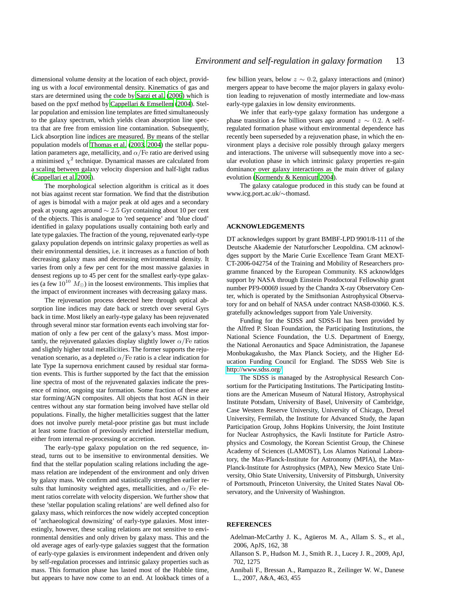dimensional volume density at the location of each object, providing us with a *local* environmental density. Kinematics of gas and stars are determined using the code by [Sarzi et al. \(2006](#page-14-26)) which is based on the ppxf method by [Cappellari & Emsellem \(2004\)](#page-13-21). Stellar population and emission line templates are fitted simultaneously to the galaxy spectrum, which yields clean absorption line spectra that are free from emission line contamination. Subsequently, Lick absorption line indices are measured. By means of the stellar population models of [Thomas et al. \(2003,](#page-14-27) [2004](#page-14-28)) the stellar population parameters age, metallicity, and  $\alpha$ /Fe ratio are derived using a minimised  $\chi^2$  technique. Dynamical masses are calculated from a scaling between galaxy velocity dispersion and half-light radius [\(Cappellari et al. 2006](#page-13-41)).

The morphological selection algorithm is critical as it does not bias against recent star formation. We find that the distribution of ages is bimodal with a major peak at old ages and a secondary peak at young ages around ∼ 2.5 Gyr containing about 10 per cent of the objects. This is analogue to 'red sequence' and 'blue cloud' identified in galaxy populations usually containing both early and late type galaxies. The fraction of the young, rejuvenated early-type galaxy population depends on intrinsic galaxy properties as well as their environmental densities, i.e. it increases as a function of both decreasing galaxy mass and decreasing environmental density. It varies from only a few per cent for the most massive galaxies in densest regions up to 45 per cent for the smallest early-type galaxies (a few  $10^{10}$   $M_{\odot}$ ) in the loosest environments. This implies that the impact of environment increases with decreasing galaxy mass.

The rejuvenation process detected here through optical absorption line indices may date back or stretch over several Gyrs back in time. Most likely an early-type galaxy has been rejuvenated through several minor star formation events each involving star formation of only a few per cent of the galaxy's mass. Most importantly, the rejuvenated galaxies display slightly lower  $\alpha$ /Fe ratios and slightly higher total metallicities. The former supports the rejuvenation scenario, as a depleted  $\alpha$ /Fe ratio is a clear indication for late Type Ia supernova enrichment caused by residual star formation events. This is further supported by the fact that the emission line spectra of most of the rejuvenated galaxies indicate the presence of minor, ongoing star formation. Some fraction of these are star forming/AGN composites. All objects that host AGN in their centres without any star formation being involved have stellar old populations. Finally, the higher metallicities suggest that the latter does not involve purely metal-poor pristine gas but must include at least some fraction of previously enriched interstellar medium, either from internal re-processing or accretion.

The early-type galaxy population on the red sequence, instead, turns out to be insensitive to environmental densities. We find that the stellar population scaling relations including the agemass relation are independent of the environment and only driven by galaxy mass. We confirm and statistically strengthen earlier results that luminosity weighted ages, metallicities, and  $\alpha$ /Fe element ratios correlate with velocity dispersion. We further show that these 'stellar population scaling relations' are well defined also for galaxy mass, which reinforces the now widely accepted conception of 'archaeological downsizing' of early-type galaxies. Most interestingly, however, these scaling relations are not sensitive to environmental densities and only driven by galaxy mass. This and the old average ages of early-type galaxies suggest that the formation of early-type galaxies is environment independent and driven only by self-regulation processes and intrinsic galaxy properties such as mass. This formation phase has lasted most of the Hubble time, but appears to have now come to an end. At lookback times of a few billion years, below  $z \sim 0.2$ , galaxy interactions and (minor) mergers appear to have become the major players in galaxy evolution leading to rejuvenation of mostly intermediate and low-mass early-type galaxies in low density environments.

We infer that early-type galaxy formation has undergone a phase transition a few billion years ago around  $z \sim 0.2$ . A selfregulated formation phase without environmental dependence has recently been superseded by a rejuvenation phase, in which the environment plays a decisive role possibly through galaxy mergers and interactions. The universe will subsequently move into a secular evolution phase in which intrinsic galaxy properties re-gain dominance over galaxy interactions as the main driver of galaxy evolution [\(Kormendy & Kennicutt 2004](#page-14-68)).

The galaxy catalogue produced in this study can be found at www.icg.port.ac.uk/∼thomasd.

### **ACKNOWLEDGEMENTS**

DT acknowledges support by grant BMBF-LPD 9901/8-111 of the Deutsche Akademie der Naturforscher Leopoldina. CM acknowldges support by the Marie Curie Excellence Team Grant MEXT-CT-2006-042754 of the Training and Mobility of Researchers programme financed by the European Community. KS acknowldges support by NASA through Einstein Postdoctoral Fellowship grant number PF9-00069 issued by the Chandra X-ray Observatory Center, which is operated by the Smithsonian Astrophysical Observatory for and on behalf of NASA under contract NAS8-03060. K.S. gratefully acknowledges support from Yale University.

Funding for the SDSS and SDSS-II has been provided by the Alfred P. Sloan Foundation, the Participating Institutions, the National Science Foundation, the U.S. Department of Energy, the National Aeronautics and Space Administration, the Japanese Monbukagakusho, the Max Planck Society, and the Higher Education Funding Council for England. The SDSS Web Site is [http://www.sdss.org/.](http://www.sdss.org/)

The SDSS is managed by the Astrophysical Research Consortium for the Participating Institutions. The Participating Institutions are the American Museum of Natural History, Astrophysical Institute Potsdam, University of Basel, University of Cambridge, Case Western Reserve University, University of Chicago, Drexel University, Fermilab, the Institute for Advanced Study, the Japan Participation Group, Johns Hopkins University, the Joint Institute for Nuclear Astrophysics, the Kavli Institute for Particle Astrophysics and Cosmology, the Korean Scientist Group, the Chinese Academy of Sciences (LAMOST), Los Alamos National Laboratory, the Max-Planck-Institute for Astronomy (MPIA), the Max-Planck-Institute for Astrophysics (MPA), New Mexico State University, Ohio State University, University of Pittsburgh, University of Portsmouth, Princeton University, the United States Naval Observatory, and the University of Washington.

### **REFERENCES**

- <span id="page-12-1"></span>Adelman-McCarthy J. K., Agüeros M. A., Allam S. S., et al., 2006, ApJS, 162, 38
- <span id="page-12-2"></span>Allanson S. P., Hudson M. J., Smith R. J., Lucey J. R., 2009, ApJ, 702, 1275
- <span id="page-12-0"></span>Annibali F., Bressan A., Rampazzo R., Zeilinger W. W., Danese L., 2007, A&A, 463, 455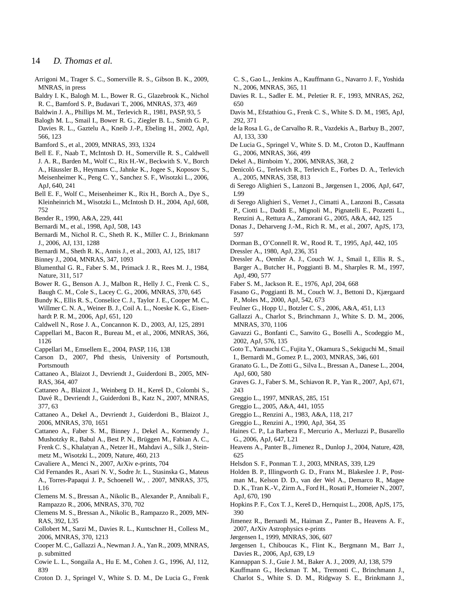- <span id="page-13-58"></span>Arrigoni M., Trager S. C., Somerville R. S., Gibson B. K., 2009, MNRAS, in press
- <span id="page-13-24"></span>Baldry I. K., Balogh M. L., Bower R. G., Glazebrook K., Nichol R. C., Bamford S. P., Budavari T., 2006, MNRAS, 373, 469
- <span id="page-13-37"></span>Baldwin J. A., Phillips M. M., Terlevich R., 1981, PASP, 93, 5
- <span id="page-13-7"></span>Balogh M. L., Smail I., Bower R. G., Ziegler B. L., Smith G. P., Davies R. L., Gaztelu A., Kneib J.-P., Ebeling H., 2002, ApJ, 566, 123
- <span id="page-13-4"></span>Bamford S., et al., 2009, MNRAS, 393, 1324
- <span id="page-13-61"></span>Bell E. F., Naab T., McIntosh D. H., Somerville R. S., Caldwell J. A. R., Barden M., Wolf C., Rix H.-W., Beckwith S. V., Borch A., Häussler B., Heymans C., Jahnke K., Jogee S., Koposov S., Meisenheimer K., Peng C. Y., Sanchez S. F., Wisotzki L., 2006, ApJ, 640, 241
- <span id="page-13-13"></span>Bell E. F., Wolf C., Meisenheimer K., Rix H., Borch A., Dye S., Kleinheinrich M., Wisotzki L., McIntosh D. H., 2004, ApJ, 608, 752
- <span id="page-13-40"></span>Bender R., 1990, A&A, 229, 441
- <span id="page-13-59"></span>Bernardi M., et al., 1998, ApJ, 508, 143
- <span id="page-13-20"></span>Bernardi M., Nichol R. C., Sheth R. K., Miller C. J., Brinkmann J., 2006, AJ, 131, 1288
- <span id="page-13-19"></span>Bernardi M., Sheth R. K., Annis J., et al., 2003, AJ, 125, 1817
- <span id="page-13-46"></span>Binney J., 2004, MNRAS, 347, 1093
- <span id="page-13-8"></span>Blumenthal G. R., Faber S. M., Primack J. R., Rees M. J., 1984, Nature, 311, 517
- <span id="page-13-52"></span>Bower R. G., Benson A. J., Malbon R., Helly J. C., Frenk C. S., Baugh C. M., Cole S., Lacey C. G., 2006, MNRAS, 370, 645
- <span id="page-13-14"></span>Bundy K., Ellis R. S., Conselice C. J., Taylor J. E., Cooper M. C., Willmer C. N. A., Weiner B. J., Coil A. L., Noeske K. G., Eisenhardt P. R. M., 2006, ApJ, 651, 120
- <span id="page-13-26"></span>Caldwell N., Rose J. A., Concannon K. D., 2003, AJ, 125, 2891
- <span id="page-13-41"></span>Cappellari M., Bacon R., Bureau M., et al., 2006, MNRAS, 366, 1126
- <span id="page-13-21"></span>Cappellari M., Emsellem E., 2004, PASP, 116, 138
- <span id="page-13-22"></span>Carson D., 2007, Phd thesis, University of Portsmouth, Portsmouth
- <span id="page-13-53"></span>Cattaneo A., Blaizot J., Devriendt J., Guiderdoni B., 2005, MN-RAS, 364, 407
- <span id="page-13-56"></span>Cattaneo A., Blaizot J., Weinberg D. H., Kereš D., Colombi S., Davé R., Devriendt J., Guiderdoni B., Katz N., 2007, MNRAS, 377, 63
- <span id="page-13-54"></span>Cattaneo A., Dekel A., Devriendt J., Guiderdoni B., Blaizot J., 2006, MNRAS, 370, 1651
- <span id="page-13-49"></span>Cattaneo A., Faber S. M., Binney J., Dekel A., Kormendy J., Mushotzky R., Babul A., Best P. N., Brüggen M., Fabian A. C., Frenk C. S., Khalatyan A., Netzer H., Mahdavi A., Silk J., Steinmetz M., Wisotzki L., 2009, Nature, 460, 213
- <span id="page-13-57"></span>Cavaliere A., Menci N., 2007, ArXiv e-prints, 704
- <span id="page-13-45"></span>Cid Fernandes R., Asari N. V., Sodre Jr. L., Stasinska G., Mateus A., Torres-Papaqui J. P., Schoenell W., . 2007, MNRAS, 375, L16
- <span id="page-13-28"></span>Clemens M. S., Bressan A., Nikolic B., Alexander P., Annibali F., Rampazzo R., 2006, MNRAS, 370, 702
- Clemens M. S., Bressan A., Nikolic B., Rampazzo R., 2009, MN-RAS, 392, L35
- <span id="page-13-11"></span>Collobert M., Sarzi M., Davies R. L., Kuntschner H., Colless M., 2006, MNRAS, 370, 1213
- <span id="page-13-62"></span>Cooper M. C., Gallazzi A., Newman J. A., Yan R., 2009, MNRAS, p. submitted
- <span id="page-13-42"></span>Cowie L. L., Songaila A., Hu E. M., Cohen J. G., 1996, AJ, 112, 839
- <span id="page-13-51"></span>Croton D. J., Springel V., White S. D. M., De Lucia G., Frenk
- C. S., Gao L., Jenkins A., Kauffmann G., Navarro J. F., Yoshida N., 2006, MNRAS, 365, 11
- <span id="page-13-23"></span>Davies R. L., Sadler E. M., Peletier R. F., 1993, MNRAS, 262, 650
- <span id="page-13-9"></span>Davis M., Efstathiou G., Frenk C. S., White S. D. M., 1985, ApJ, 292, 371
- <span id="page-13-12"></span>de la Rosa I. G., de Carvalho R. R., Vazdekis A., Barbuy B., 2007, AJ, 133, 330
- <span id="page-13-50"></span>De Lucia G., Springel V., White S. D. M., Croton D., Kauffmann G., 2006, MNRAS, 366, 499
- <span id="page-13-55"></span>Dekel A., Birnboim Y., 2006, MNRAS, 368, 2
- <span id="page-13-10"></span>Denicoló G., Terlevich R., Terlevich E., Forbes D. A., Terlevich A., 2005, MNRAS, 358, 813
- <span id="page-13-17"></span>di Serego Alighieri S., Lanzoni B., Jørgensen I., 2006, ApJ, 647, L99
- <span id="page-13-15"></span>di Serego Alighieri S., Vernet J., Cimatti A., Lanzoni B., Cassata P., Ciotti L., Daddi E., Mignoli M., Pignatelli E., Pozzetti L.,
- Renzini A., Rettura A., Zamorani G., 2005, A&A, 442, 125 Donas J., Deharveng J.-M., Rich R. M., et al., 2007, ApJS, 173,
- <span id="page-13-32"></span>597
- <span id="page-13-34"></span><span id="page-13-0"></span>Dorman B., O'Connell R. W., Rood R. T., 1995, ApJ, 442, 105 Dressler A., 1980, ApJ, 236, 351
- <span id="page-13-5"></span>Dressler A., Oemler A. J., Couch W. J., Smail I., Ellis R. S., Barger A., Butcher H., Poggianti B. M., Sharples R. M., 1997, ApJ, 490, 577
- <span id="page-13-39"></span>Faber S. M., Jackson R. E., 1976, ApJ, 204, 668
- <span id="page-13-6"></span>Fasano G., Poggianti B. M., Couch W. J., Bettoni D., Kjærgaard P., Moles M., 2000, ApJ, 542, 673
- <span id="page-13-18"></span>Feulner G., Hopp U., Botzler C. S., 2006, A&A, 451, L13
- <span id="page-13-27"></span>Gallazzi A., Charlot S., Brinchmann J., White S. D. M., 2006, MNRAS, 370, 1106
- <span id="page-13-43"></span>Gavazzi G., Bonfanti C., Sanvito G., Boselli A., Scodeggio M., 2002, ApJ, 576, 135
- <span id="page-13-1"></span>Goto T., Yamauchi C., Fujita Y., Okamura S., Sekiguchi M., Smail I., Bernardi M., Gomez P. L., 2003, MNRAS, 346, 601
- <span id="page-13-47"></span>Granato G. L., De Zotti G., Silva L., Bressan A., Danese L., 2004, ApJ, 600, 580
- <span id="page-13-30"></span>Graves G. J., Faber S. M., Schiavon R. P., Yan R., 2007, ApJ, 671, 243
- <span id="page-13-31"></span>Greggio L., 1997, MNRAS, 285, 151
- <span id="page-13-36"></span>Greggio L., 2005, A&A, 441, 1055
- <span id="page-13-35"></span>Greggio L., Renzini A., 1983, A&A, 118, 217
- <span id="page-13-33"></span>Greggio L., Renzini A., 1990, ApJ, 364, 35
- <span id="page-13-60"></span>Haines C. P., La Barbera F., Mercurio A., Merluzzi P., Busarello G., 2006, ApJ, 647, L21
- <span id="page-13-44"></span>Heavens A., Panter B., Jimenez R., Dunlop J., 2004, Nature, 428, 625
- <span id="page-13-2"></span>Helsdon S. F., Ponman T. J., 2003, MNRAS, 339, L29
- <span id="page-13-3"></span>Holden B. P., Illingworth G. D., Franx M., Blakeslee J. P., Postman M., Kelson D. D., van der Wel A., Demarco R., Magee D. K., Tran K.-V., Zirm A., Ford H., Rosati P., Homeier N., 2007, ApJ, 670, 190
- <span id="page-13-48"></span>Hopkins P. F., Cox T. J., Kereš D., Hernquist L., 2008, ApJS, 175, 390
- <span id="page-13-29"></span>Jimenez R., Bernardi M., Haiman Z., Panter B., Heavens A. F., 2007, ArXiv Astrophysics e-prints
- <span id="page-13-25"></span>Jørgensen I., 1999, MNRAS, 306, 607
- <span id="page-13-16"></span>Jørgensen I., Chiboucas K., Flint K., Bergmann M., Barr J., Davies R., 2006, ApJ, 639, L9
- Kannappan S. J., Guie J. M., Baker A. J., 2009, AJ, 138, 579
- <span id="page-13-38"></span>Kauffmann G., Heckman T. M., Tremonti C., Brinchmann J.,
- Charlot S., White S. D. M., Ridgway S. E., Brinkmann J.,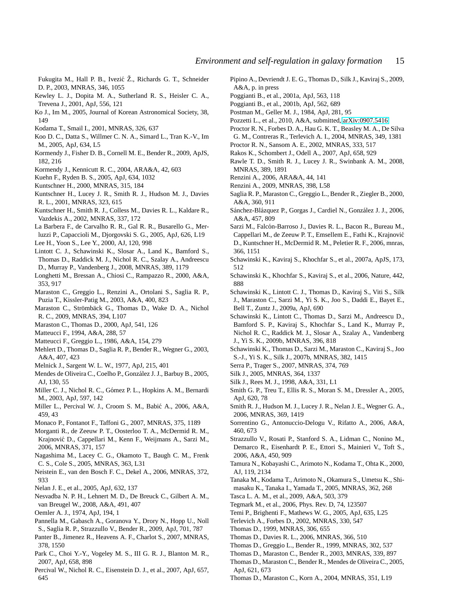- Fukugita M., Hall P. B., Ivezić Ž., Richards G. T., Schneider D. P., 2003, MNRAS, 346, 1055
- <span id="page-14-52"></span>Kewley L. J., Dopita M. A., Sutherland R. S., Heisler C. A., Trevena J., 2001, ApJ, 556, 121
- <span id="page-14-71"></span>Ko J., Im M., 2005, Journal of Korean Astronomical Society, 38, 149
- <span id="page-14-9"></span>Kodama T., Smail I., 2001, MNRAS, 326, 637
- <span id="page-14-21"></span>Koo D. C., Datta S., Willmer C. N. A., Simard L., Tran K.-V., Im M., 2005, ApJ, 634, L5
- <span id="page-14-50"></span>Kormendy J., Fisher D. B., Cornell M. E., Bender R., 2009, ApJS, 182, 216
- <span id="page-14-68"></span>Kormendy J., Kennicutt R. C., 2004, ARA&A, 42, 603
- <span id="page-14-3"></span>Kuehn F., Ryden B. S., 2005, ApJ, 634, 1032
- <span id="page-14-39"></span>Kuntschner H., 2000, MNRAS, 315, 184
- <span id="page-14-40"></span>Kuntschner H., Lucey J. R., Smith R. J., Hudson M. J., Davies R. L., 2001, MNRAS, 323, 615
- <span id="page-14-13"></span>Kuntschner H., Smith R. J., Colless M., Davies R. L., Kaldare R., Vazdekis A., 2002, MNRAS, 337, 172
- <span id="page-14-70"></span>La Barbera F., de Carvalho R. R., Gal R. R., Busarello G., Merluzzi P., Capaccioli M., Djorgovski S. G., 2005, ApJ, 626, L19
- <span id="page-14-46"></span>Lee H., Yoon S., Lee Y., 2000, AJ, 120, 998
- <span id="page-14-25"></span>Lintott C. J., Schawinski K., Slosar A., Land K., Bamford S., Thomas D., Raddick M. J., Nichol R. C., Szalay A., Andreescu D., Murray P., Vandenberg J., 2008, MNRAS, 389, 1179
- <span id="page-14-11"></span>Longhetti M., Bressan A., Chiosi C., Rampazzo R., 2000, A&A, 353, 917
- <span id="page-14-31"></span>Maraston C., Greggio L., Renzini A., Ortolani S., Saglia R. P., Puzia T., Kissler-Patig M., 2003, A&A, 400, 823
- <span id="page-14-32"></span>Maraston C., Strömbäck G., Thomas D., Wake D. A., Nichol R. C., 2009, MNRAS, 394, L107
- <span id="page-14-45"></span>Maraston C., Thomas D., 2000, ApJ, 541, 126
- <span id="page-14-48"></span>Matteucci F., 1994, A&A, 288, 57
- <span id="page-14-47"></span>Matteucci F., Greggio L., 1986, A&A, 154, 279
- <span id="page-14-33"></span>Mehlert D., Thomas D., Saglia R. P., Bender R., Wegner G., 2003, A&A, 407, 423
- <span id="page-14-1"></span>Melnick J., Sargent W. L. W., 1977, ApJ, 215, 401
- <span id="page-14-16"></span>Mendes de Oliveira C., Coelho P., González J. J., Barbuy B., 2005, AJ, 130, 55
- <span id="page-14-53"></span>Miller C. J., Nichol R. C., Gómez P. L., Hopkins A. M., Bernardi M., 2003, ApJ, 597, 142
- <span id="page-14-60"></span>Miller L., Percival W. J., Croom S. M., Babić A., 2006, A&A, 459, 43
- <span id="page-14-64"></span>Monaco P., Fontanot F., Taffoni G., 2007, MNRAS, 375, 1189
- <span id="page-14-54"></span>Morganti R., de Zeeuw P. T., Oosterloo T. A., McDermid R. M., Krajnović D., Cappellari M., Kenn F., Weijmans A., Sarzi M., 2006, MNRAS, 371, 157
- <span id="page-14-66"></span>Nagashima M., Lacey C. G., Okamoto T., Baugh C. M., Frenk C. S., Cole S., 2005, MNRAS, 363, L31
- <span id="page-14-56"></span>Neistein E., van den Bosch F. C., Dekel A., 2006, MNRAS, 372, 933
- <span id="page-14-42"></span>Nelan J. E., et al., 2005, ApJ, 632, 137
- <span id="page-14-63"></span>Nesvadba N. P. H., Lehnert M. D., De Breuck C., Gilbert A. M., van Breugel W., 2008, A&A, 491, 407
- <span id="page-14-0"></span>Oemler A. J., 1974, ApJ, 194, 1
- <span id="page-14-7"></span>Pannella M., Gabasch A., Goranova Y., Drory N., Hopp U., Noll S., Saglia R. P., Strazzullo V., Bender R., 2009, ApJ, 701, 787
- <span id="page-14-57"></span>Panter B., Jimenez R., Heavens A. F., Charlot S., 2007, MNRAS, 378, 1550
- <span id="page-14-4"></span>Park C., Choi Y.-Y., Vogeley M. S., III G. R. J., Blanton M. R., 2007, ApJ, 658, 898
- <span id="page-14-38"></span>Percival W., Nichol R. C., Eisenstein D. J., et al., 2007, ApJ, 657, 645
- <span id="page-14-67"></span>Pipino A., Devriendt J. E. G., Thomas D., Silk J., Kaviraj S., 2009, A&A, p. in press
- <span id="page-14-12"></span>Poggianti B., et al., 2001a, ApJ, 563, 118
- <span id="page-14-41"></span>Poggianti B., et al., 2001b, ApJ, 562, 689
- <span id="page-14-2"></span>Postman M., Geller M. J., 1984, ApJ, 281, 95
- <span id="page-14-72"></span>Pozzetti L., et al., 2010, A&A, submitted, [arXiv:0907.5416](http://arxiv.org/abs/0907.5416)
- <span id="page-14-15"></span>Proctor R. N., Forbes D. A., Hau G. K. T., Beasley M. A., De Silva
- G. M., Contreras R., Terlevich A. I., 2004, MNRAS, 349, 1381
- <span id="page-14-29"></span>Proctor R. N., Sansom A. E., 2002, MNRAS, 333, 517
- <span id="page-14-19"></span>Rakos K., Schombert J., Odell A., 2007, ApJ, 658, 929
- <span id="page-14-34"></span>Rawle T. D., Smith R. J., Lucey J. R., Swinbank A. M., 2008, MNRAS, 389, 1891
- <span id="page-14-20"></span>Renzini A., 2006, ARA&A, 44, 141
- <span id="page-14-61"></span>Renzini A., 2009, MNRAS, 398, L58
- <span id="page-14-35"></span>Saglia R. P., Maraston C., Greggio L., Bender R., Ziegler B., 2000, A&A, 360, 911
- <span id="page-14-18"></span>Sánchez-Blázquez P., Gorgas J., Cardiel N., González J. J., 2006, A&A, 457, 809
- <span id="page-14-26"></span>Sarzi M., Falcón-Barroso J., Davies R. L., Bacon R., Bureau M., Cappellari M., de Zeeuw P. T., Emsellem E., Fathi K., Krajnović D., Kuntschner H., McDermid R. M., Peletier R. F., 2006, mnras, 366, 1151
- <span id="page-14-17"></span>Schawinski K., Kaviraj S., Khochfar S., et al., 2007a, ApJS, 173, 512
- <span id="page-14-55"></span>Schawinski K., Khochfar S., Kaviraj S., et al., 2006, Nature, 442, 888
- <span id="page-14-62"></span>Schawinski K., Lintott C. J., Thomas D., Kaviraj S., Viti S., Silk J., Maraston C., Sarzi M., Yi S. K., Joo S., Daddi E., Bayet E., Bell T., Zuntz J., 2009a, ApJ, 690
- <span id="page-14-43"></span>Schawinski K., Lintott C., Thomas D., Sarzi M., Andreescu D., Bamford S. P., Kaviraj S., Khochfar S., Land K., Murray P., Nichol R. C., Raddick M. J., Slosar A., Szalay A., Vandenberg J., Yi S. K., 2009b, MNRAS, 396, 818
- <span id="page-14-24"></span>Schawinski K., Thomas D., Sarzi M., Maraston C., Kaviraj S.,Joo S.-J., Yi S. K., Silk J., 2007b, MNRAS, 382, 1415
- <span id="page-14-44"></span>Serra P., Trager S., 2007, MNRAS, 374, 769
- <span id="page-14-59"></span>Silk J., 2005, MNRAS, 364, 1337
- <span id="page-14-58"></span>Silk J., Rees M. J., 1998, A&A, 331, L1
- <span id="page-14-6"></span>Smith G. P., Treu T., Ellis R. S., Moran S. M., Dressler A., 2005, ApJ, 620, 78
- <span id="page-14-69"></span>Smith R. J., Hudson M. J., Lucey J. R., Nelan J. E., Wegner G. A., 2006, MNRAS, 369, 1419
- <span id="page-14-5"></span>Sorrentino G., Antonuccio-Delogu V., Rifatto A., 2006, A&A, 460, 673
- <span id="page-14-23"></span>Strazzullo V., Rosati P., Stanford S. A., Lidman C., Nonino M., Demarco R., Eisenhardt P. E., Ettori S., Mainieri V., Toft S., 2006, A&A, 450, 909
- <span id="page-14-36"></span>Tamura N., Kobayashi C., Arimoto N., Kodama T., Ohta K., 2000, AJ, 119, 2134
- <span id="page-14-22"></span>Tanaka M., Kodama T., Arimoto N., Okamura S., Umetsu K., Shi-
- masaku K., Tanaka I., Yamada T., 2005, MNRAS, 362, 268
- <span id="page-14-8"></span>Tasca L. A. M., et al., 2009, A&A, 503, 379
- <span id="page-14-37"></span>Tegmark M., et al., 2006, Phys. Rev. D, 74, 123507
- <span id="page-14-51"></span>Temi P., Brighenti F., Mathews W. G., 2005, ApJ, 635, L25
- <span id="page-14-14"></span>Terlevich A., Forbes D., 2002, MNRAS, 330, 547
- <span id="page-14-65"></span>Thomas D., 1999, MNRAS, 306, 655
- <span id="page-14-30"></span>Thomas D., Davies R. L., 2006, MNRAS, 366, 510
- <span id="page-14-49"></span>Thomas D., Greggio L., Bender R., 1999, MNRAS, 302, 537
- <span id="page-14-27"></span>Thomas D., Maraston C., Bender R., 2003, MNRAS, 339, 897
- <span id="page-14-10"></span>Thomas D., Maraston C., Bender R., Mendes de Oliveira C., 2005, ApJ, 621, 673
- <span id="page-14-28"></span>Thomas D., Maraston C., Korn A., 2004, MNRAS, 351, L19